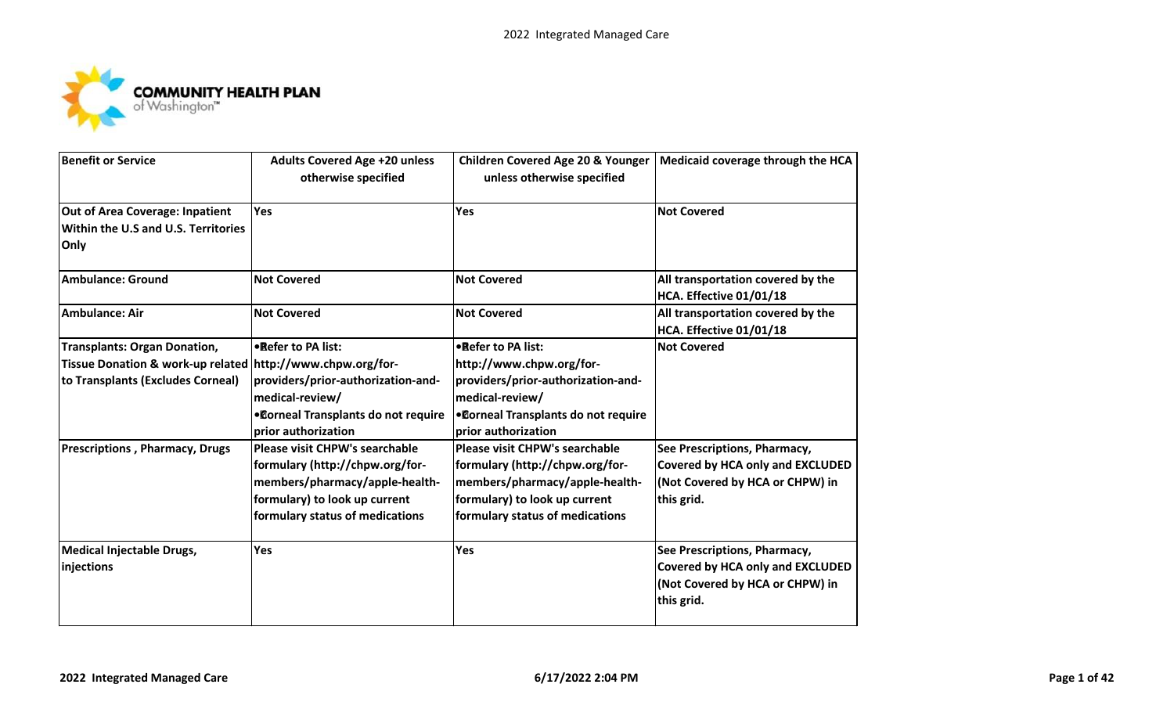

| <b>Benefit or Service</b>                                                                                                              | <b>Adults Covered Age +20 unless</b><br>otherwise specified                                                                                                                    | <b>Children Covered Age 20 &amp; Younger</b><br>unless otherwise specified                                                                                              | Medicaid coverage through the HCA                                                                                 |
|----------------------------------------------------------------------------------------------------------------------------------------|--------------------------------------------------------------------------------------------------------------------------------------------------------------------------------|-------------------------------------------------------------------------------------------------------------------------------------------------------------------------|-------------------------------------------------------------------------------------------------------------------|
| Out of Area Coverage: Inpatient<br>Within the U.S and U.S. Territories<br>Only                                                         | Yes                                                                                                                                                                            | Yes                                                                                                                                                                     | <b>Not Covered</b>                                                                                                |
| <b>Ambulance: Ground</b>                                                                                                               | <b>Not Covered</b>                                                                                                                                                             | <b>Not Covered</b>                                                                                                                                                      | All transportation covered by the<br>HCA. Effective 01/01/18                                                      |
| <b>Ambulance: Air</b>                                                                                                                  | <b>Not Covered</b>                                                                                                                                                             | <b>Not Covered</b>                                                                                                                                                      | All transportation covered by the<br>HCA. Effective 01/01/18                                                      |
| <b>Transplants: Organ Donation,</b><br>Tissue Donation & work-up related http://www.chpw.org/for-<br>to Transplants (Excludes Corneal) | • Refer to PA list:<br>providers/prior-authorization-and-<br>medical-review/                                                                                                   | • Refer to PA list:<br>http://www.chpw.org/for-<br>providers/prior-authorization-and-<br>medical-review/                                                                | <b>Not Covered</b>                                                                                                |
|                                                                                                                                        | <b>•Dorneal Transplants do not require</b><br>prior authorization                                                                                                              | <b>•Corneal Transplants do not require</b><br>prior authorization                                                                                                       |                                                                                                                   |
| <b>Prescriptions, Pharmacy, Drugs</b>                                                                                                  | <b>Please visit CHPW's searchable</b><br>formulary (http://chpw.org/for-<br>members/pharmacy/apple-health-<br>formulary) to look up current<br>formulary status of medications | Please visit CHPW's searchable<br>formulary (http://chpw.org/for-<br>members/pharmacy/apple-health-<br>formulary) to look up current<br>formulary status of medications | See Prescriptions, Pharmacy,<br>Covered by HCA only and EXCLUDED<br>(Not Covered by HCA or CHPW) in<br>this grid. |
| <b>Medical Injectable Drugs,</b><br>injections                                                                                         | Yes                                                                                                                                                                            | Yes                                                                                                                                                                     | See Prescriptions, Pharmacy,<br>Covered by HCA only and EXCLUDED<br>(Not Covered by HCA or CHPW) in<br>this grid. |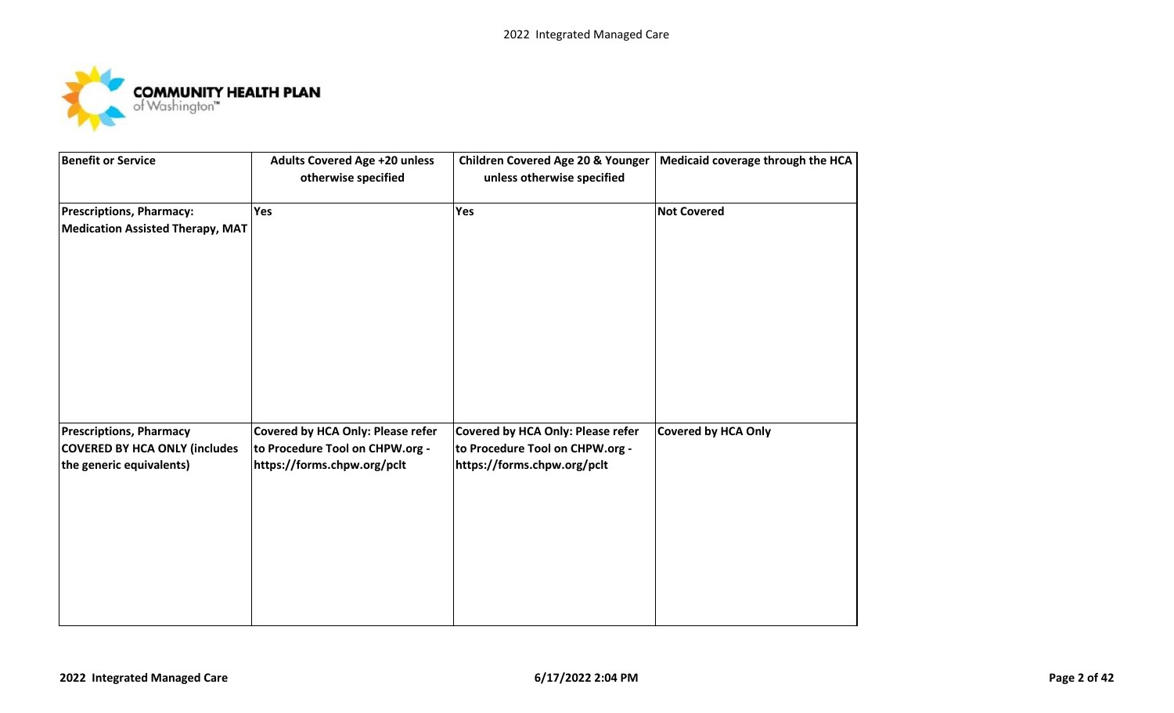

| <b>Benefit or Service</b>                                                                          | <b>Adults Covered Age +20 unless</b><br>otherwise specified                                                | <b>Children Covered Age 20 &amp; Younger</b><br>unless otherwise specified                                 | Medicaid coverage through the HCA |
|----------------------------------------------------------------------------------------------------|------------------------------------------------------------------------------------------------------------|------------------------------------------------------------------------------------------------------------|-----------------------------------|
| <b>Prescriptions, Pharmacy:</b><br><b>Medication Assisted Therapy, MAT</b>                         | Yes                                                                                                        | Yes                                                                                                        | <b>Not Covered</b>                |
| <b>Prescriptions, Pharmacy</b><br><b>COVERED BY HCA ONLY (includes</b><br>the generic equivalents) | <b>Covered by HCA Only: Please refer</b><br>to Procedure Tool on CHPW.org -<br>https://forms.chpw.org/pclt | <b>Covered by HCA Only: Please refer</b><br>to Procedure Tool on CHPW.org -<br>https://forms.chpw.org/pclt | <b>Covered by HCA Only</b>        |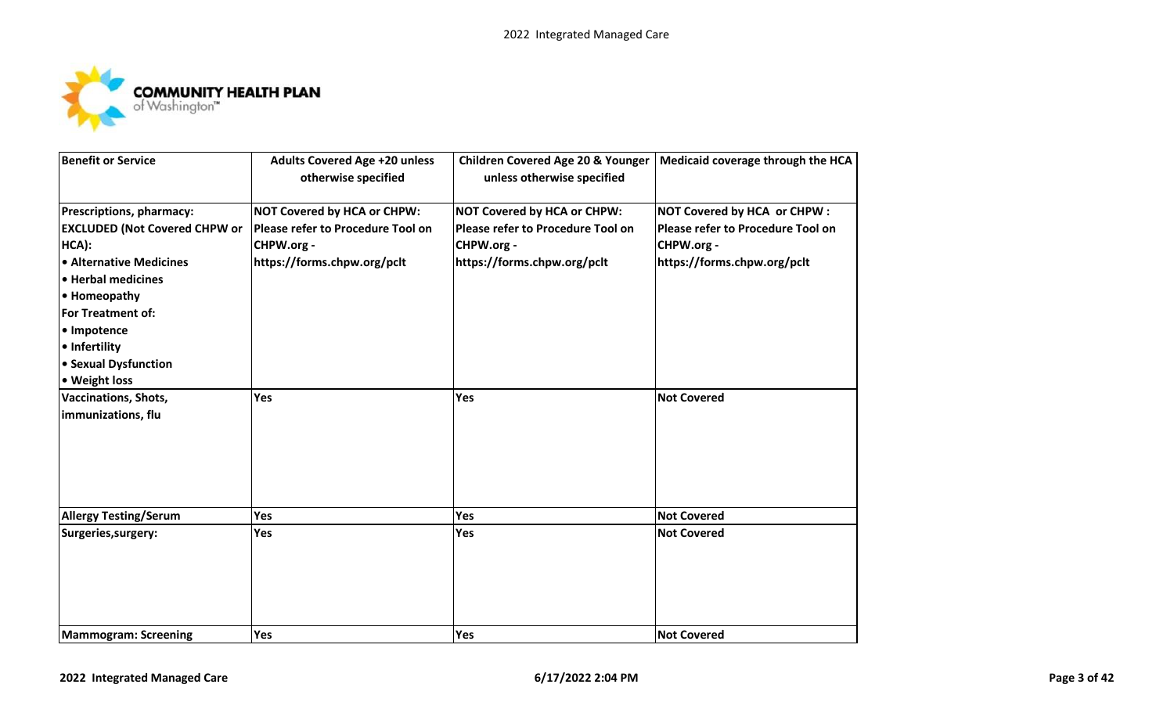

| <b>Benefit or Service</b>            | <b>Adults Covered Age +20 unless</b><br>otherwise specified | <b>Children Covered Age 20 &amp; Younger</b><br>unless otherwise specified | Medicaid coverage through the HCA |
|--------------------------------------|-------------------------------------------------------------|----------------------------------------------------------------------------|-----------------------------------|
| Prescriptions, pharmacy:             | NOT Covered by HCA or CHPW:                                 | <b>NOT Covered by HCA or CHPW:</b>                                         | NOT Covered by HCA or CHPW :      |
| <b>EXCLUDED (Not Covered CHPW or</b> | Please refer to Procedure Tool on                           | Please refer to Procedure Tool on                                          | Please refer to Procedure Tool on |
| HCA):                                | CHPW.org -                                                  | CHPW.org -                                                                 | CHPW.org -                        |
| • Alternative Medicines              | https://forms.chpw.org/pclt                                 | https://forms.chpw.org/pclt                                                | https://forms.chpw.org/pclt       |
| • Herbal medicines                   |                                                             |                                                                            |                                   |
| • Homeopathy                         |                                                             |                                                                            |                                   |
| <b>For Treatment of:</b>             |                                                             |                                                                            |                                   |
| • Impotence                          |                                                             |                                                                            |                                   |
| • Infertility                        |                                                             |                                                                            |                                   |
| • Sexual Dysfunction                 |                                                             |                                                                            |                                   |
| • Weight loss                        |                                                             |                                                                            |                                   |
| <b>Vaccinations, Shots,</b>          | Yes                                                         | Yes                                                                        | <b>Not Covered</b>                |
| immunizations, flu                   |                                                             |                                                                            |                                   |
|                                      |                                                             |                                                                            |                                   |
| <b>Allergy Testing/Serum</b>         | Yes                                                         | Yes                                                                        | <b>Not Covered</b>                |
| Surgeries, surgery:                  | <b>Yes</b>                                                  | Yes                                                                        | <b>Not Covered</b>                |
|                                      |                                                             |                                                                            |                                   |
| <b>Mammogram: Screening</b>          | Yes                                                         | Yes                                                                        | <b>Not Covered</b>                |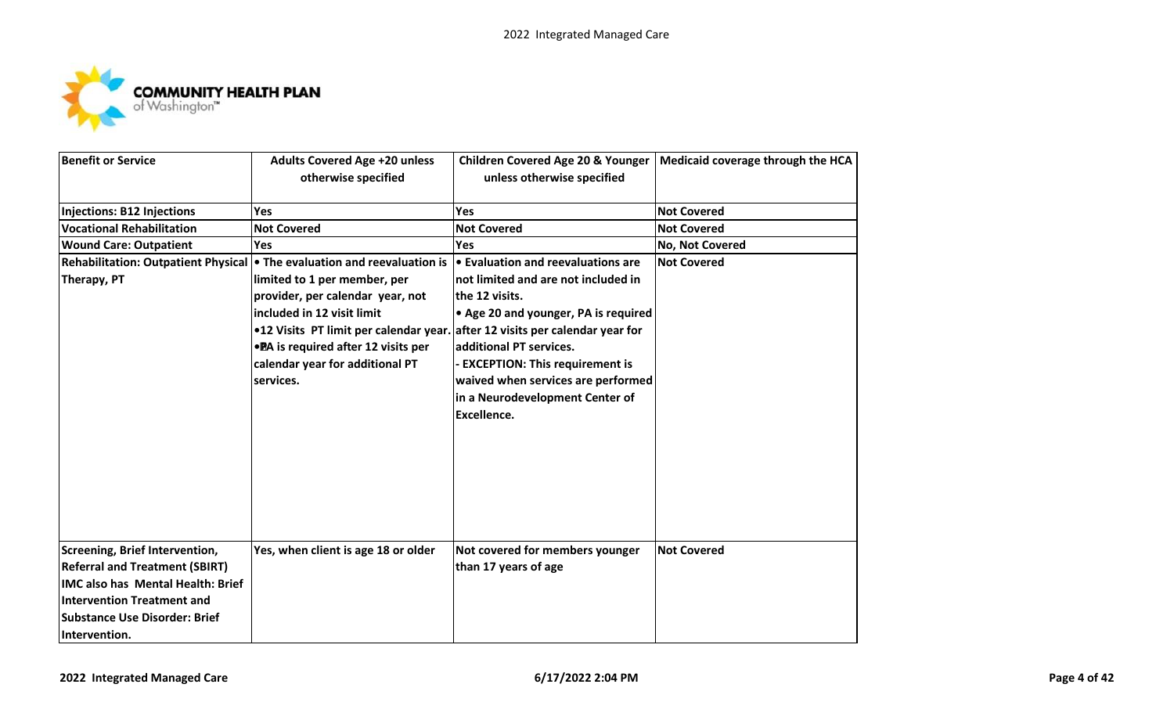

| <b>Benefit or Service</b>                  | <b>Adults Covered Age +20 unless</b><br>otherwise specified                             | unless otherwise specified            | Children Covered Age 20 & Younger   Medicaid coverage through the HCA |
|--------------------------------------------|-----------------------------------------------------------------------------------------|---------------------------------------|-----------------------------------------------------------------------|
| Injections: B12 Injections                 | Yes                                                                                     | Yes                                   | <b>Not Covered</b>                                                    |
| Vocational Rehabilitation                  | <b>Not Covered</b>                                                                      | <b>Not Covered</b>                    | <b>Not Covered</b>                                                    |
| <b>Wound Care: Outpatient</b>              | Yes                                                                                     | Yes                                   | No, Not Covered                                                       |
| <b>Rehabilitation: Outpatient Physical</b> | $\bullet$ The evaluation and reevaluation is $\bullet$ Evaluation and reevaluations are |                                       | <b>Not Covered</b>                                                    |
| Therapy, PT                                | limited to 1 per member, per                                                            | not limited and are not included in   |                                                                       |
|                                            | provider, per calendar year, not                                                        | lthe 12 visits.                       |                                                                       |
|                                            | included in 12 visit limit                                                              | ● Age 20 and younger, PA is required  |                                                                       |
|                                            | •12 Visits PT limit per calendar year. after 12 visits per calendar year for            |                                       |                                                                       |
|                                            | • PA is required after 12 visits per                                                    | ladditional PT services.              |                                                                       |
|                                            | calendar year for additional PT                                                         | <b>EXCEPTION: This requirement is</b> |                                                                       |
|                                            | services.                                                                               | waived when services are performed    |                                                                       |
|                                            |                                                                                         | in a Neurodevelopment Center of       |                                                                       |
|                                            |                                                                                         | Excellence.                           |                                                                       |
|                                            |                                                                                         |                                       |                                                                       |
|                                            |                                                                                         |                                       |                                                                       |
|                                            |                                                                                         |                                       |                                                                       |
|                                            |                                                                                         |                                       |                                                                       |
|                                            |                                                                                         |                                       |                                                                       |
|                                            |                                                                                         |                                       |                                                                       |
|                                            |                                                                                         |                                       |                                                                       |
| Screening, Brief Intervention,             | Yes, when client is age 18 or older                                                     | Not covered for members younger       | <b>Not Covered</b>                                                    |
| <b>Referral and Treatment (SBIRT)</b>      |                                                                                         | than 17 years of age                  |                                                                       |
| IMC also has Mental Health: Brief          |                                                                                         |                                       |                                                                       |
| Intervention Treatment and                 |                                                                                         |                                       |                                                                       |
| <b>Substance Use Disorder: Brief</b>       |                                                                                         |                                       |                                                                       |
| Intervention.                              |                                                                                         |                                       |                                                                       |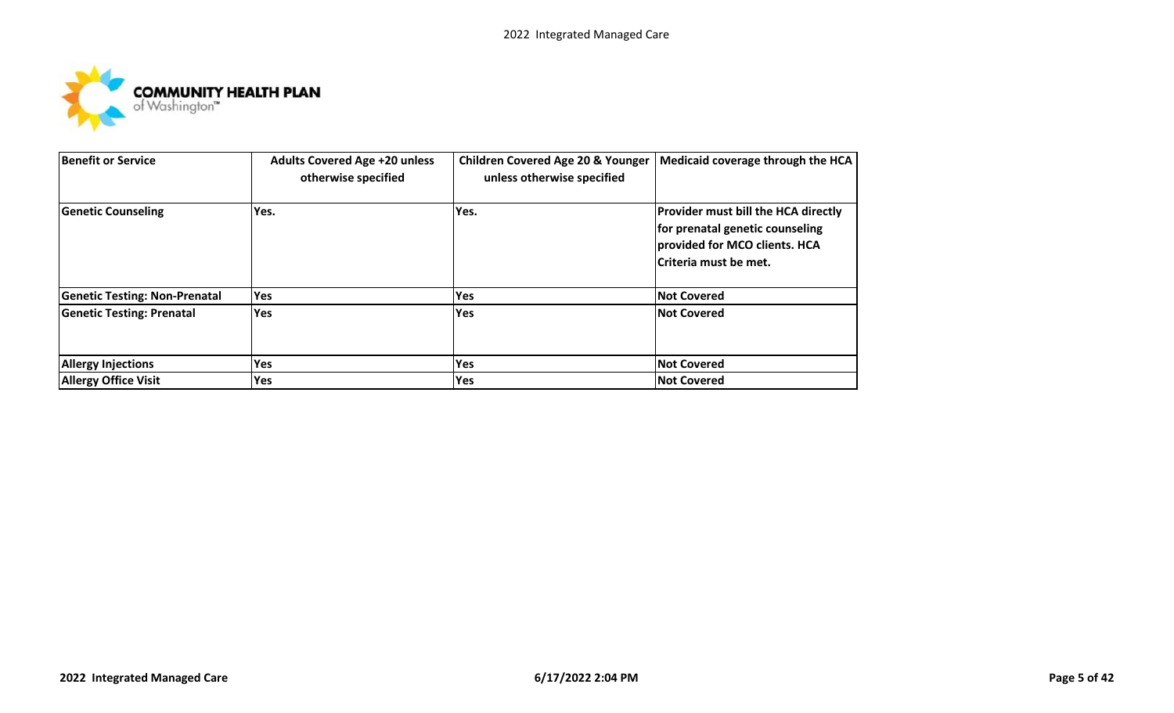

| <b>Benefit or Service</b>            | <b>Adults Covered Age +20 unless</b><br>otherwise specified | <b>Children Covered Age 20 &amp; Younger</b><br>unless otherwise specified | Medicaid coverage through the HCA                                                                                                        |
|--------------------------------------|-------------------------------------------------------------|----------------------------------------------------------------------------|------------------------------------------------------------------------------------------------------------------------------------------|
| <b>Genetic Counseling</b>            | Yes.                                                        | Yes.                                                                       | <b>Provider must bill the HCA directly</b><br>for prenatal genetic counseling<br>provided for MCO clients. HCA<br>lCriteria must be met. |
| <b>Genetic Testing: Non-Prenatal</b> | Yes                                                         | Yes                                                                        | <b>Not Covered</b>                                                                                                                       |
| <b>Genetic Testing: Prenatal</b>     | <b>Yes</b>                                                  | Yes                                                                        | <b>Not Covered</b>                                                                                                                       |
| <b>Allergy Injections</b>            | Yes                                                         | Yes                                                                        | <b>Not Covered</b>                                                                                                                       |
| <b>Allergy Office Visit</b>          | Yes                                                         | Yes                                                                        | <b>Not Covered</b>                                                                                                                       |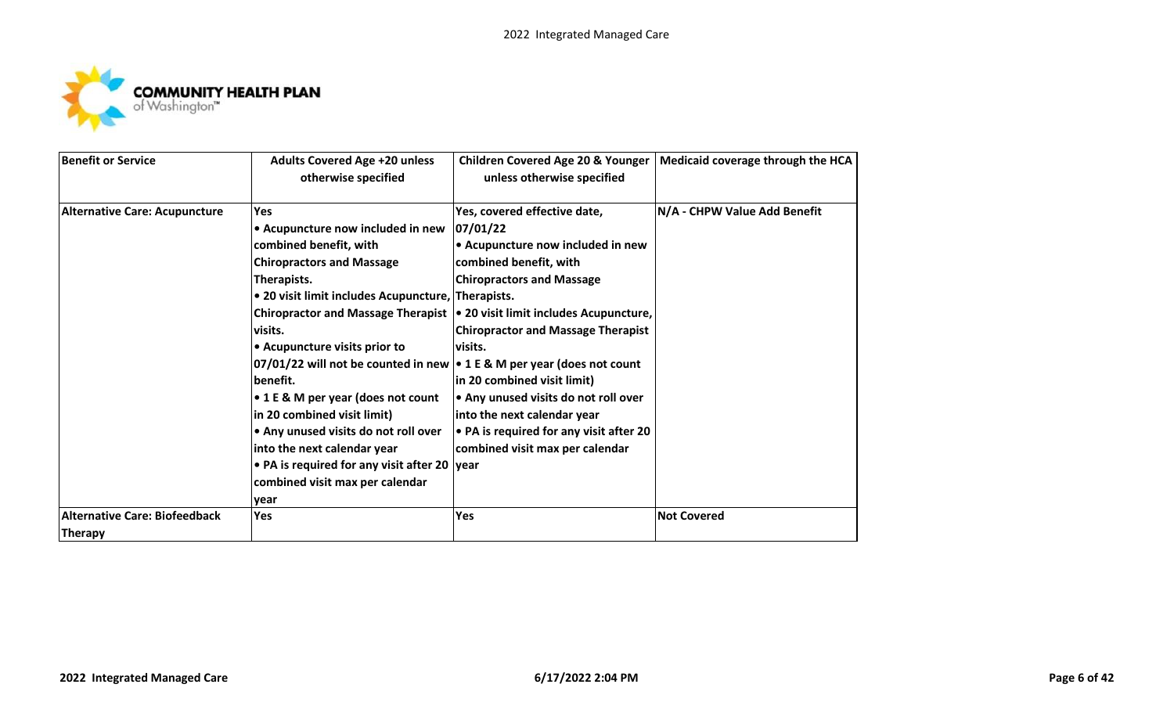

| <b>Benefit or Service</b>                       | <b>Adults Covered Age +20 unless</b><br>otherwise specified                                                                                                                                                                                                                                                                                                                                                                                                                                                                                                        | <b>Children Covered Age 20 &amp; Younger</b><br>unless otherwise specified                                                                                                                                                                                                                                                                                                                                                                                                | Medicaid coverage through the HCA |
|-------------------------------------------------|--------------------------------------------------------------------------------------------------------------------------------------------------------------------------------------------------------------------------------------------------------------------------------------------------------------------------------------------------------------------------------------------------------------------------------------------------------------------------------------------------------------------------------------------------------------------|---------------------------------------------------------------------------------------------------------------------------------------------------------------------------------------------------------------------------------------------------------------------------------------------------------------------------------------------------------------------------------------------------------------------------------------------------------------------------|-----------------------------------|
| <b>Alternative Care: Acupuncture</b>            | Yes<br>• Acupuncture now included in new<br>combined benefit, with<br><b>Chiropractors and Massage</b><br>Therapists.<br>• 20 visit limit includes Acupuncture, Therapists.<br>lvisits.<br>• Acupuncture visits prior to<br>$ 07/01/22$ will not be counted in new $ \bullet 1 \text{ E}$ & M per year (does not count<br>lbenefit.<br>• 1 E & M per year (does not count<br>in 20 combined visit limit)<br>. Any unused visits do not roll over<br>into the next calendar year<br>• PA is required for any visit after 20 year<br>combined visit max per calendar | Yes, covered effective date,<br> 07/01/22 <br>• Acupuncture now included in new<br>combined benefit, with<br><b>Chiropractors and Massage</b><br>Chiropractor and Massage Therapist   • 20 visit limit includes Acupuncture,<br><b>Chiropractor and Massage Therapist</b><br>lvisits.<br>in 20 combined visit limit)<br>• Any unused visits do not roll over<br>into the next calendar year<br>• PA is required for any visit after 20<br>combined visit max per calendar | N/A - CHPW Value Add Benefit      |
| <b>Alternative Care: Biofeedback</b><br>Therapy | year<br><b>Yes</b>                                                                                                                                                                                                                                                                                                                                                                                                                                                                                                                                                 | Yes                                                                                                                                                                                                                                                                                                                                                                                                                                                                       | <b>Not Covered</b>                |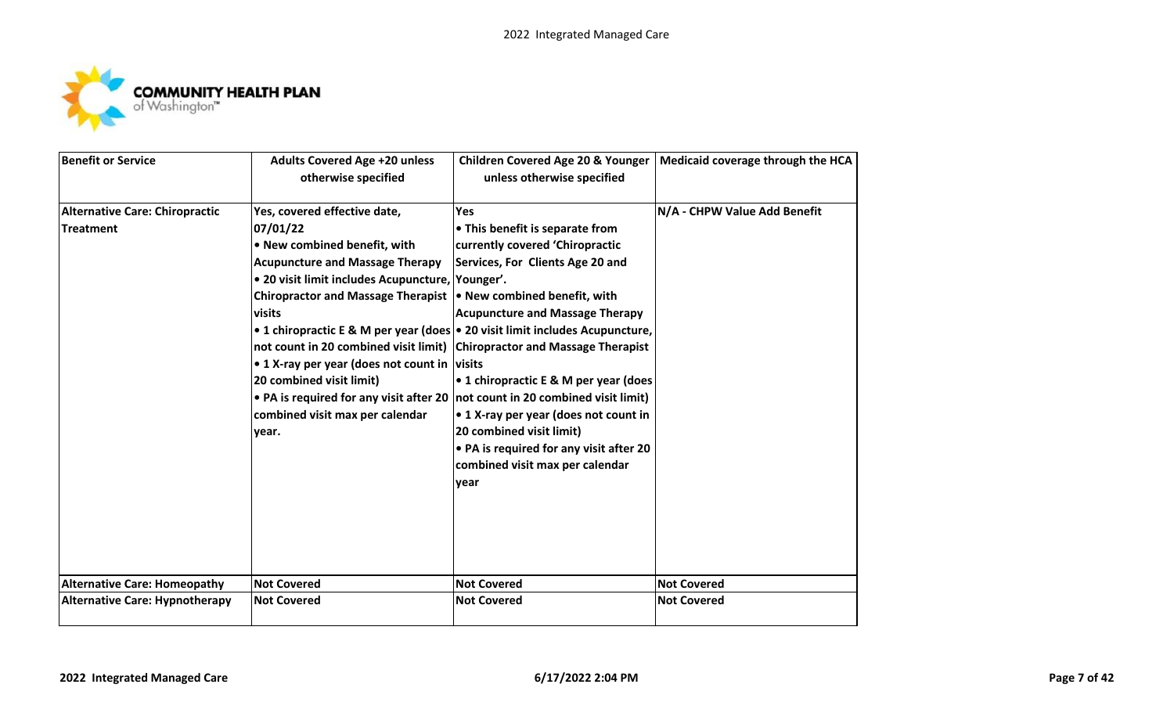

| <b>Benefit or Service</b>                                 | <b>Adults Covered Age +20 unless</b><br>otherwise specified                                                                                                                                                                                                                                                                                                                                                                                                                                                                                                           | <b>Children Covered Age 20 &amp; Younger</b><br>unless otherwise specified                                                                                                                                                                                                                                                                                                                                                                  | Medicaid coverage through the HCA |
|-----------------------------------------------------------|-----------------------------------------------------------------------------------------------------------------------------------------------------------------------------------------------------------------------------------------------------------------------------------------------------------------------------------------------------------------------------------------------------------------------------------------------------------------------------------------------------------------------------------------------------------------------|---------------------------------------------------------------------------------------------------------------------------------------------------------------------------------------------------------------------------------------------------------------------------------------------------------------------------------------------------------------------------------------------------------------------------------------------|-----------------------------------|
| <b>Alternative Care: Chiropractic</b><br><b>Treatment</b> | Yes, covered effective date,<br>07/01/22<br>• New combined benefit, with<br><b>Acupuncture and Massage Therapy</b><br>• 20 visit limit includes Acupuncture, Younger'.<br>Chiropractor and Massage Therapist $\vert \cdot \vert$ New combined benefit, with<br><b>visits</b><br>not count in 20 combined visit limit) Chiropractor and Massage Therapist<br>• 1 X-ray per year (does not count in visits<br>20 combined visit limit)<br>• PA is required for any visit after 20 $ $ not count in 20 combined visit limit)<br>combined visit max per calendar<br>year. | Yes<br>• This benefit is separate from<br>currently covered 'Chiropractic<br>Services, For Clients Age 20 and<br><b>Acupuncture and Massage Therapy</b><br>• 1 chiropractic E & M per year (does • 20 visit limit includes Acupuncture,<br>• 1 chiropractic E & M per year (does<br>• 1 X-ray per year (does not count in<br>20 combined visit limit)<br>• PA is required for any visit after 20<br>combined visit max per calendar<br>vear | N/A - CHPW Value Add Benefit      |
| <b>Alternative Care: Homeopathy</b>                       | <b>Not Covered</b>                                                                                                                                                                                                                                                                                                                                                                                                                                                                                                                                                    | <b>Not Covered</b>                                                                                                                                                                                                                                                                                                                                                                                                                          | <b>Not Covered</b>                |
| <b>Alternative Care: Hypnotherapy</b>                     | <b>Not Covered</b>                                                                                                                                                                                                                                                                                                                                                                                                                                                                                                                                                    | <b>Not Covered</b>                                                                                                                                                                                                                                                                                                                                                                                                                          | <b>Not Covered</b>                |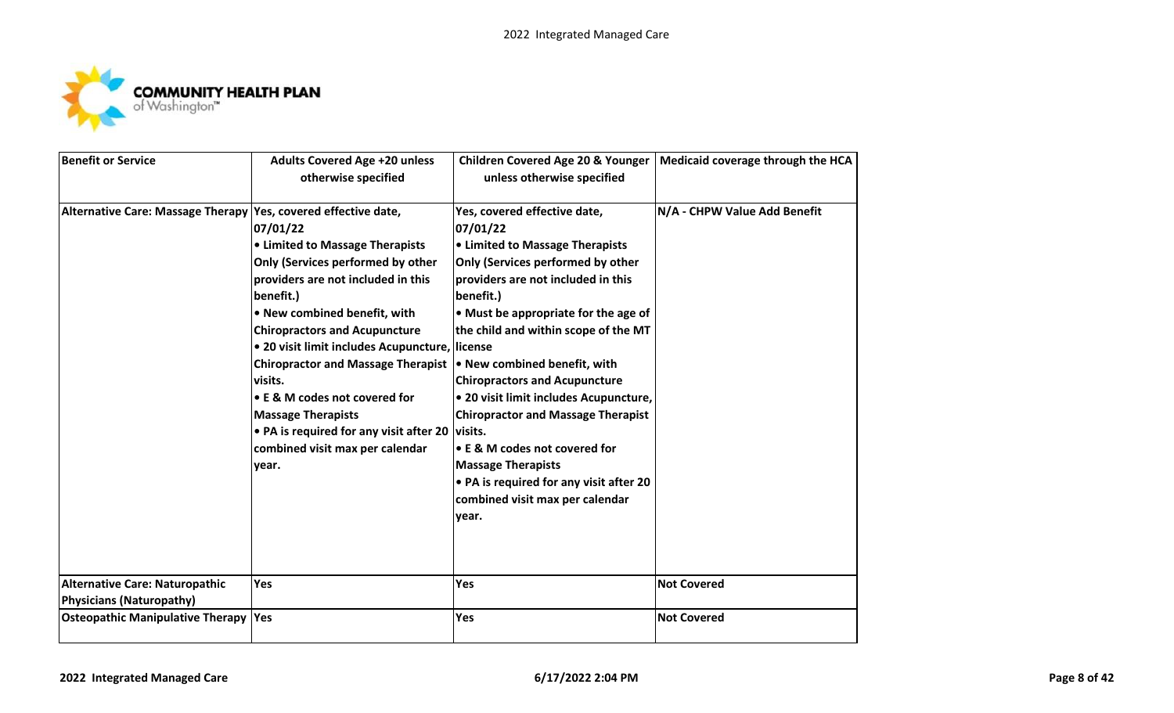

| <b>Benefit or Service</b>                                                | <b>Adults Covered Age +20 unless</b><br>otherwise specified                                                                                                                                                                                                                                                                                                                                                                                                                                                  | Children Covered Age 20 & Younger<br>unless otherwise specified                                                                                                                                                                                                                                                                                                                                                                                                                                                                         | Medicaid coverage through the HCA |
|--------------------------------------------------------------------------|--------------------------------------------------------------------------------------------------------------------------------------------------------------------------------------------------------------------------------------------------------------------------------------------------------------------------------------------------------------------------------------------------------------------------------------------------------------------------------------------------------------|-----------------------------------------------------------------------------------------------------------------------------------------------------------------------------------------------------------------------------------------------------------------------------------------------------------------------------------------------------------------------------------------------------------------------------------------------------------------------------------------------------------------------------------------|-----------------------------------|
| Alternative Care: Massage Therapy Yes, covered effective date,           | 07/01/22<br>• Limited to Massage Therapists<br>Only (Services performed by other<br>providers are not included in this<br>benefit.)<br>• New combined benefit, with<br><b>Chiropractors and Acupuncture</b><br>• 20 visit limit includes Acupuncture, license<br>Chiropractor and Massage Therapist   • New combined benefit, with<br>visits.<br>• E & M codes not covered for<br><b>Massage Therapists</b><br>• PA is required for any visit after 20   visits.<br>combined visit max per calendar<br>year. | Yes, covered effective date,<br>07/01/22<br>• Limited to Massage Therapists<br>Only (Services performed by other<br>providers are not included in this<br>benefit.)<br>• Must be appropriate for the age of<br>the child and within scope of the MT<br><b>Chiropractors and Acupuncture</b><br>. 20 visit limit includes Acupuncture,<br><b>Chiropractor and Massage Therapist</b><br>• E & M codes not covered for<br><b>Massage Therapists</b><br>• PA is required for any visit after 20<br>combined visit max per calendar<br>year. | N/A - CHPW Value Add Benefit      |
| <b>Alternative Care: Naturopathic</b><br><b>Physicians (Naturopathy)</b> | Yes                                                                                                                                                                                                                                                                                                                                                                                                                                                                                                          | Yes                                                                                                                                                                                                                                                                                                                                                                                                                                                                                                                                     | <b>Not Covered</b>                |
| <b>Osteopathic Manipulative Therapy</b>                                  | Yes                                                                                                                                                                                                                                                                                                                                                                                                                                                                                                          | Yes                                                                                                                                                                                                                                                                                                                                                                                                                                                                                                                                     | <b>Not Covered</b>                |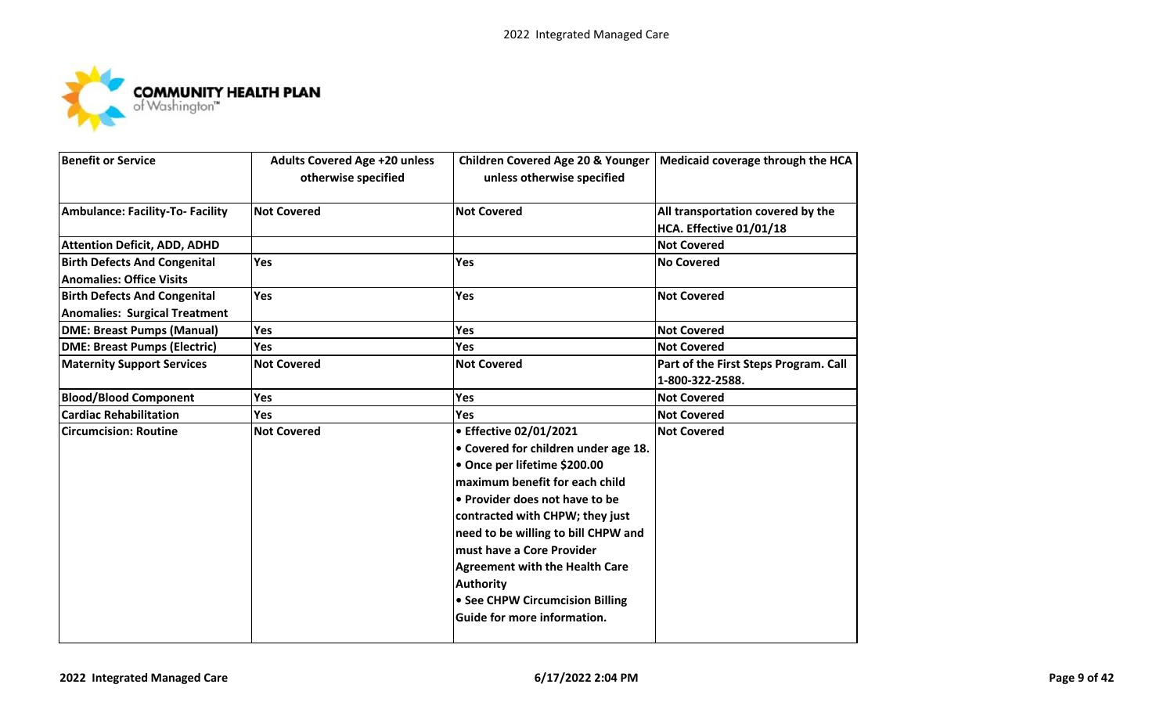

| <b>Benefit or Service</b>                                                   | <b>Adults Covered Age +20 unless</b><br>otherwise specified | <b>Children Covered Age 20 &amp; Younger</b><br>unless otherwise specified                                                                                                                                                                                                                                                                                                                                      | Medicaid coverage through the HCA                            |
|-----------------------------------------------------------------------------|-------------------------------------------------------------|-----------------------------------------------------------------------------------------------------------------------------------------------------------------------------------------------------------------------------------------------------------------------------------------------------------------------------------------------------------------------------------------------------------------|--------------------------------------------------------------|
| Ambulance: Facility-To- Facility                                            | <b>Not Covered</b>                                          | <b>Not Covered</b>                                                                                                                                                                                                                                                                                                                                                                                              | All transportation covered by the<br>HCA. Effective 01/01/18 |
| <b>Attention Deficit, ADD, ADHD</b>                                         |                                                             |                                                                                                                                                                                                                                                                                                                                                                                                                 | <b>Not Covered</b>                                           |
| <b>Birth Defects And Congenital</b><br><b>Anomalies: Office Visits</b>      | Yes                                                         | Yes                                                                                                                                                                                                                                                                                                                                                                                                             | <b>No Covered</b>                                            |
| <b>Birth Defects And Congenital</b><br><b>Anomalies: Surgical Treatment</b> | <b>Yes</b>                                                  | Yes                                                                                                                                                                                                                                                                                                                                                                                                             | <b>Not Covered</b>                                           |
| <b>DME: Breast Pumps (Manual)</b>                                           | Yes                                                         | Yes                                                                                                                                                                                                                                                                                                                                                                                                             | <b>Not Covered</b>                                           |
| <b>DME: Breast Pumps (Electric)</b>                                         | Yes                                                         | Yes                                                                                                                                                                                                                                                                                                                                                                                                             | <b>Not Covered</b>                                           |
| <b>Maternity Support Services</b>                                           | <b>Not Covered</b>                                          | <b>Not Covered</b>                                                                                                                                                                                                                                                                                                                                                                                              | Part of the First Steps Program. Call<br>1-800-322-2588.     |
| <b>Blood/Blood Component</b>                                                | Yes                                                         | Yes                                                                                                                                                                                                                                                                                                                                                                                                             | <b>Not Covered</b>                                           |
| <b>Cardiac Rehabilitation</b>                                               | Yes                                                         | Yes                                                                                                                                                                                                                                                                                                                                                                                                             | <b>Not Covered</b>                                           |
| <b>Circumcision: Routine</b>                                                | <b>Not Covered</b>                                          | • Effective 02/01/2021<br>• Covered for children under age 18.<br>• Once per lifetime \$200.00<br>maximum benefit for each child<br>• Provider does not have to be<br>contracted with CHPW; they just<br>need to be willing to bill CHPW and<br>must have a Core Provider<br><b>Agreement with the Health Care</b><br><b>Authority</b><br>• See CHPW Circumcision Billing<br><b>Guide for more information.</b> | <b>Not Covered</b>                                           |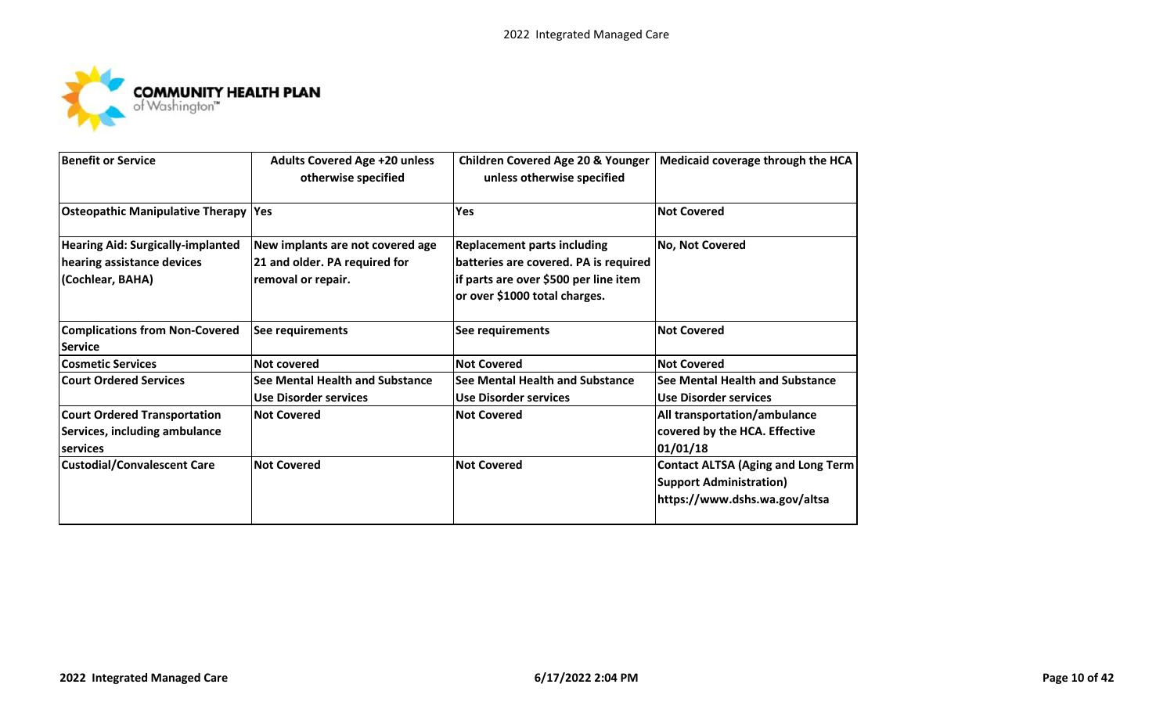

| <b>Benefit or Service</b>                                                                  | <b>Adults Covered Age +20 unless</b><br>otherwise specified                             | <b>Children Covered Age 20 &amp; Younger</b><br>unless otherwise specified                                                                             | Medicaid coverage through the HCA                                                                            |
|--------------------------------------------------------------------------------------------|-----------------------------------------------------------------------------------------|--------------------------------------------------------------------------------------------------------------------------------------------------------|--------------------------------------------------------------------------------------------------------------|
| <b>Osteopathic Manipulative Therapy Yes</b>                                                |                                                                                         | Yes                                                                                                                                                    | <b>Not Covered</b>                                                                                           |
| <b>Hearing Aid: Surgically-implanted</b><br>hearing assistance devices<br>(Cochlear, BAHA) | New implants are not covered age<br>21 and older. PA required for<br>removal or repair. | <b>Replacement parts including</b><br>batteries are covered. PA is required<br>lif parts are over \$500 per line item<br>or over \$1000 total charges. | <b>No, Not Covered</b>                                                                                       |
| <b>Complications from Non-Covered</b><br><b>Service</b>                                    | See requirements                                                                        | See requirements                                                                                                                                       | <b>Not Covered</b>                                                                                           |
| <b>Cosmetic Services</b>                                                                   | <b>Not covered</b>                                                                      | <b>Not Covered</b>                                                                                                                                     | <b>Not Covered</b>                                                                                           |
| <b>Court Ordered Services</b>                                                              | <b>See Mental Health and Substance</b><br><b>Use Disorder services</b>                  | <b>See Mental Health and Substance</b><br>Use Disorder services                                                                                        | <b>See Mental Health and Substance</b><br><b>Use Disorder services</b>                                       |
| <b>Court Ordered Transportation</b><br>Services, including ambulance<br>services           | <b>Not Covered</b>                                                                      | <b>Not Covered</b>                                                                                                                                     | All transportation/ambulance<br>covered by the HCA. Effective<br>01/01/18                                    |
| <b>Custodial/Convalescent Care</b>                                                         | <b>Not Covered</b>                                                                      | <b>Not Covered</b>                                                                                                                                     | <b>Contact ALTSA (Aging and Long Term</b><br><b>Support Administration)</b><br>https://www.dshs.wa.gov/altsa |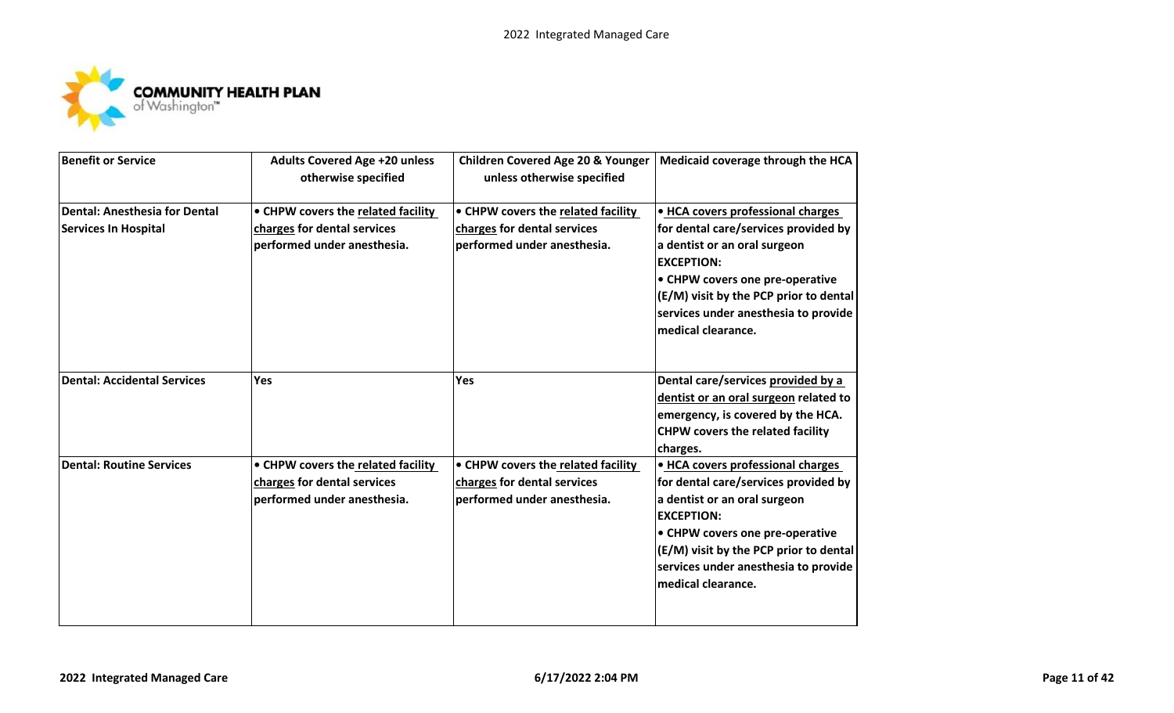

| <b>Benefit or Service</b>                                           | <b>Adults Covered Age +20 unless</b>                                                             | <b>Children Covered Age 20 &amp; Younger</b>                                                     | Medicaid coverage through the HCA                                                                                                                                                                                                                                          |
|---------------------------------------------------------------------|--------------------------------------------------------------------------------------------------|--------------------------------------------------------------------------------------------------|----------------------------------------------------------------------------------------------------------------------------------------------------------------------------------------------------------------------------------------------------------------------------|
|                                                                     | otherwise specified                                                                              | unless otherwise specified                                                                       |                                                                                                                                                                                                                                                                            |
| <b>Dental: Anesthesia for Dental</b><br><b>Services In Hospital</b> | • CHPW covers the related facility<br>charges for dental services<br>performed under anesthesia. | • CHPW covers the related facility<br>charges for dental services<br>performed under anesthesia. | • HCA covers professional charges<br>for dental care/services provided by<br>a dentist or an oral surgeon<br><b>EXCEPTION:</b><br>• CHPW covers one pre-operative<br>(E/M) visit by the PCP prior to dental<br>services under anesthesia to provide<br>lmedical clearance. |
| <b>Dental: Accidental Services</b>                                  | Yes                                                                                              | Yes                                                                                              | Dental care/services provided by a<br>dentist or an oral surgeon related to<br>emergency, is covered by the HCA.<br><b>CHPW covers the related facility</b><br>charges.                                                                                                    |
| <b>Dental: Routine Services</b>                                     | • CHPW covers the related facility<br>charges for dental services<br>performed under anesthesia. | • CHPW covers the related facility<br>charges for dental services<br>performed under anesthesia. | • HCA covers professional charges<br>for dental care/services provided by<br>a dentist or an oral surgeon<br><b>EXCEPTION:</b><br>• CHPW covers one pre-operative<br>(E/M) visit by the PCP prior to dental<br>services under anesthesia to provide<br>medical clearance.  |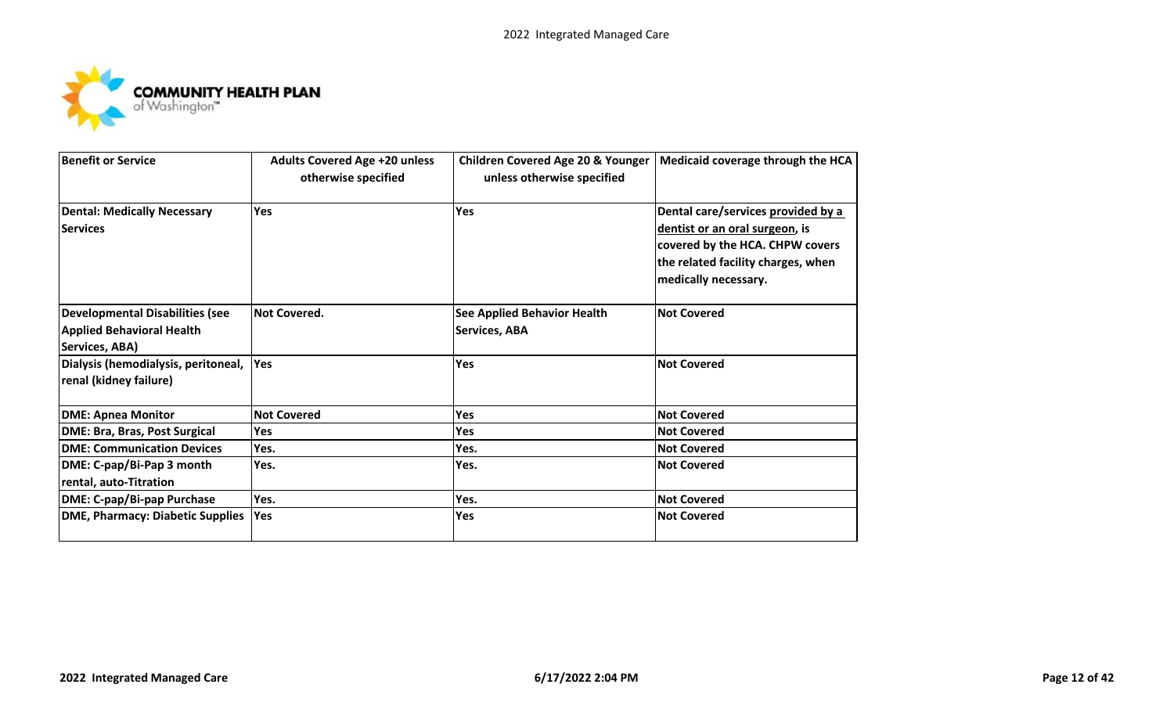

| <b>Benefit or Service</b>                                                                    | <b>Adults Covered Age +20 unless</b><br>otherwise specified | <b>Children Covered Age 20 &amp; Younger</b><br>unless otherwise specified | Medicaid coverage through the HCA                                                                                                                                     |
|----------------------------------------------------------------------------------------------|-------------------------------------------------------------|----------------------------------------------------------------------------|-----------------------------------------------------------------------------------------------------------------------------------------------------------------------|
| <b>Dental: Medically Necessary</b><br><b>Services</b>                                        | Yes                                                         | Yes                                                                        | Dental care/services provided by a<br>dentist or an oral surgeon, is<br>covered by the HCA. CHPW covers<br>the related facility charges, when<br>medically necessary. |
| <b>Developmental Disabilities (see</b><br><b>Applied Behavioral Health</b><br>Services, ABA) | <b>Not Covered.</b>                                         | <b>See Applied Behavior Health</b><br><b>Services, ABA</b>                 | <b>Not Covered</b>                                                                                                                                                    |
| Dialysis (hemodialysis, peritoneal,<br>renal (kidney failure)                                | <b>Yes</b>                                                  | Yes                                                                        | <b>Not Covered</b>                                                                                                                                                    |
| <b>DME: Apnea Monitor</b>                                                                    | <b>Not Covered</b>                                          | Yes                                                                        | <b>Not Covered</b>                                                                                                                                                    |
| <b>DME: Bra, Bras, Post Surgical</b>                                                         | <b>Yes</b>                                                  | Yes                                                                        | <b>Not Covered</b>                                                                                                                                                    |
| <b>DME: Communication Devices</b>                                                            | Yes.                                                        | Yes.                                                                       | <b>Not Covered</b>                                                                                                                                                    |
| DME: C-pap/Bi-Pap 3 month<br>rental, auto-Titration                                          | Yes.                                                        | Yes.                                                                       | <b>Not Covered</b>                                                                                                                                                    |
| DME: C-pap/Bi-pap Purchase                                                                   | Yes.                                                        | Yes.                                                                       | <b>Not Covered</b>                                                                                                                                                    |
| <b>DME, Pharmacy: Diabetic Supplies</b>                                                      | <b>Yes</b>                                                  | Yes                                                                        | <b>Not Covered</b>                                                                                                                                                    |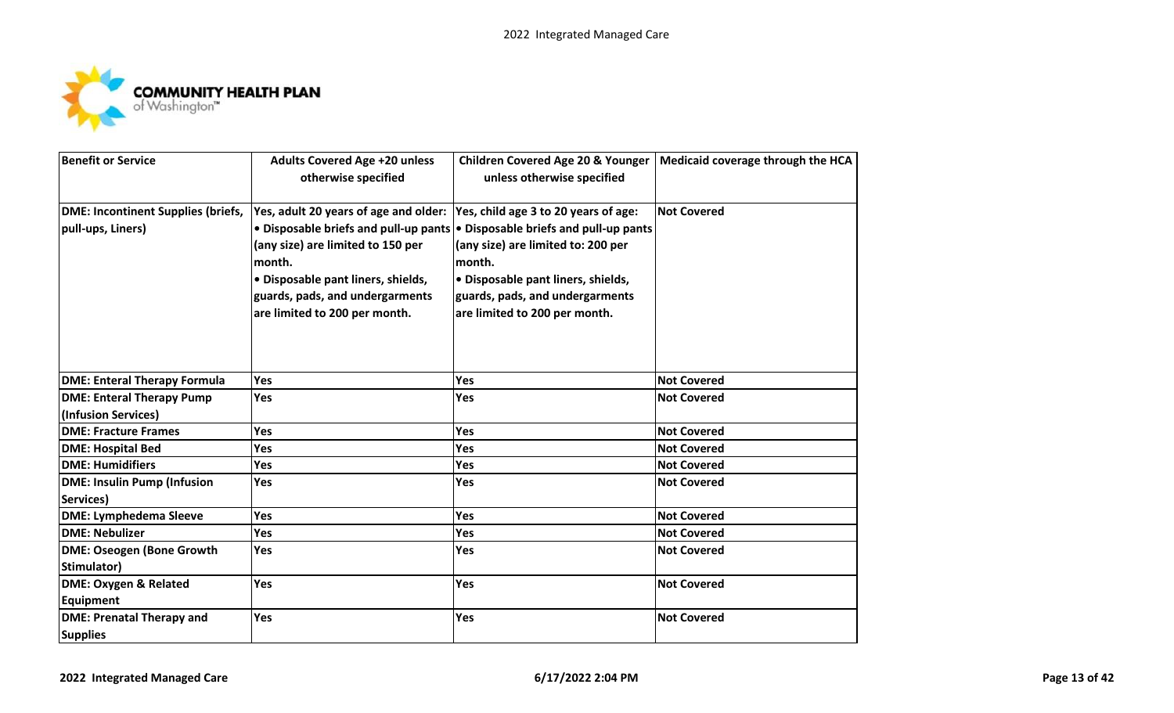

| <b>Benefit or Service</b>                                      | <b>Adults Covered Age +20 unless</b><br>otherwise specified                                                                                                                                                                          | <b>Children Covered Age 20 &amp; Younger</b><br>unless otherwise specified                                                                                                                                                            | Medicaid coverage through the HCA |
|----------------------------------------------------------------|--------------------------------------------------------------------------------------------------------------------------------------------------------------------------------------------------------------------------------------|---------------------------------------------------------------------------------------------------------------------------------------------------------------------------------------------------------------------------------------|-----------------------------------|
| <b>DME: Incontinent Supplies (briefs,</b><br>pull-ups, Liners) | Yes, adult 20 years of age and older:  Yes, child age 3 to 20 years of age:<br>(any size) are limited to 150 per<br>month.<br>· Disposable pant liners, shields,<br>guards, pads, and undergarments<br>are limited to 200 per month. | • Disposable briefs and pull-up pants • Disposable briefs and pull-up pants<br>(any size) are limited to: 200 per<br>month.<br>· Disposable pant liners, shields,<br>guards, pads, and undergarments<br>are limited to 200 per month. | <b>Not Covered</b>                |
| <b>DME: Enteral Therapy Formula</b>                            | Yes                                                                                                                                                                                                                                  | Yes                                                                                                                                                                                                                                   | <b>Not Covered</b>                |
| <b>DME: Enteral Therapy Pump</b><br>(Infusion Services)        | Yes                                                                                                                                                                                                                                  | Yes                                                                                                                                                                                                                                   | <b>Not Covered</b>                |
| <b>DME: Fracture Frames</b>                                    | Yes                                                                                                                                                                                                                                  | Yes                                                                                                                                                                                                                                   | <b>Not Covered</b>                |
| <b>DME: Hospital Bed</b>                                       | Yes                                                                                                                                                                                                                                  | Yes                                                                                                                                                                                                                                   | <b>Not Covered</b>                |
| <b>DME: Humidifiers</b>                                        | Yes                                                                                                                                                                                                                                  | Yes                                                                                                                                                                                                                                   | <b>Not Covered</b>                |
| <b>DME: Insulin Pump (Infusion</b><br>Services)                | Yes                                                                                                                                                                                                                                  | Yes                                                                                                                                                                                                                                   | <b>Not Covered</b>                |
| <b>DME: Lymphedema Sleeve</b>                                  | Yes                                                                                                                                                                                                                                  | Yes                                                                                                                                                                                                                                   | <b>Not Covered</b>                |
| <b>DME: Nebulizer</b>                                          | Yes                                                                                                                                                                                                                                  | Yes                                                                                                                                                                                                                                   | <b>Not Covered</b>                |
| <b>DME: Oseogen (Bone Growth</b><br>Stimulator)                | Yes                                                                                                                                                                                                                                  | Yes                                                                                                                                                                                                                                   | <b>Not Covered</b>                |
| <b>DME: Oxygen &amp; Related</b><br>Equipment                  | Yes                                                                                                                                                                                                                                  | Yes                                                                                                                                                                                                                                   | <b>Not Covered</b>                |
| <b>DME: Prenatal Therapy and</b><br><b>Supplies</b>            | Yes                                                                                                                                                                                                                                  | <b>Yes</b>                                                                                                                                                                                                                            | <b>Not Covered</b>                |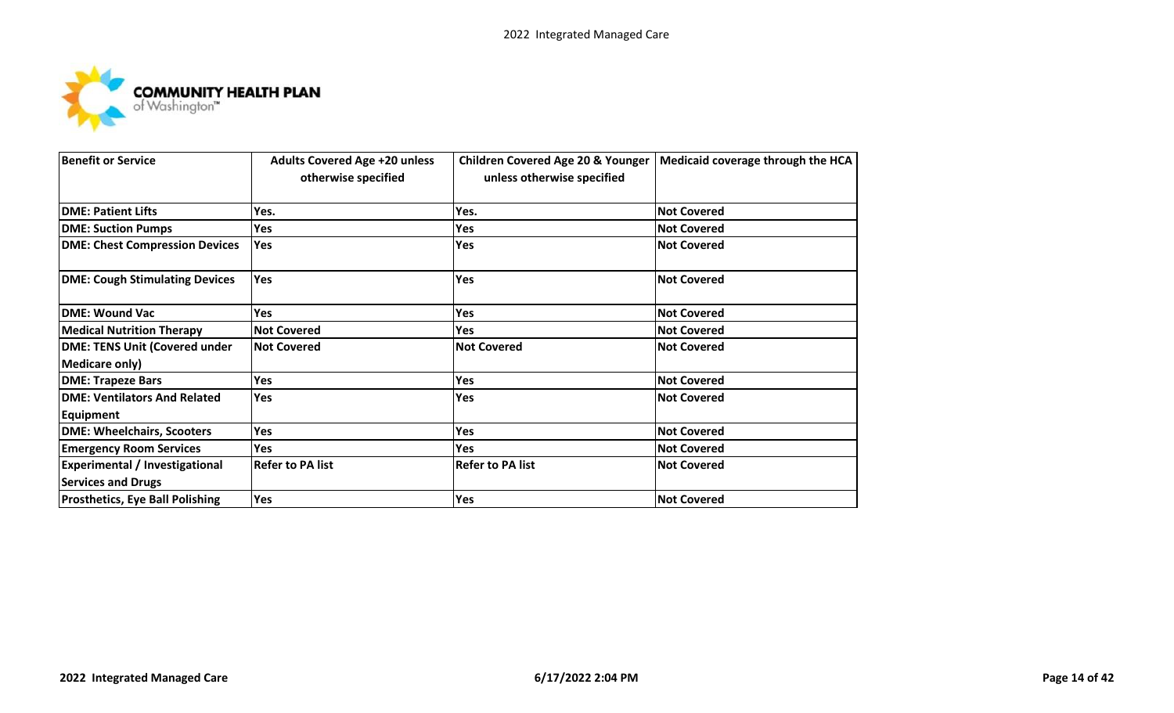

| <b>Benefit or Service</b>              | <b>Adults Covered Age +20 unless</b><br>otherwise specified | <b>Children Covered Age 20 &amp; Younger</b><br>unless otherwise specified | Medicaid coverage through the HCA |
|----------------------------------------|-------------------------------------------------------------|----------------------------------------------------------------------------|-----------------------------------|
| <b>DME: Patient Lifts</b>              | Yes.                                                        | Yes.                                                                       | <b>Not Covered</b>                |
| <b>DME: Suction Pumps</b>              | Yes                                                         | Yes                                                                        | <b>Not Covered</b>                |
| <b>DME: Chest Compression Devices</b>  | Yes                                                         | Yes                                                                        | <b>Not Covered</b>                |
| <b>DME: Cough Stimulating Devices</b>  | Yes                                                         | Yes                                                                        | <b>Not Covered</b>                |
| <b>DME: Wound Vac</b>                  | Yes                                                         | Yes                                                                        | <b>Not Covered</b>                |
| <b>Medical Nutrition Therapy</b>       | <b>Not Covered</b>                                          | Yes                                                                        | <b>Not Covered</b>                |
| <b>DME: TENS Unit (Covered under</b>   | <b>Not Covered</b>                                          | <b>Not Covered</b>                                                         | <b>Not Covered</b>                |
| <b>Medicare only)</b>                  |                                                             |                                                                            |                                   |
| <b>DME: Trapeze Bars</b>               | Yes                                                         | Yes                                                                        | <b>Not Covered</b>                |
| <b>DME: Ventilators And Related</b>    | <b>Yes</b>                                                  | Yes                                                                        | <b>Not Covered</b>                |
| <b>Equipment</b>                       |                                                             |                                                                            |                                   |
| <b>DME: Wheelchairs, Scooters</b>      | Yes                                                         | Yes                                                                        | <b>Not Covered</b>                |
| <b>Emergency Room Services</b>         | Yes                                                         | <b>Yes</b>                                                                 | <b>Not Covered</b>                |
| <b>Experimental / Investigational</b>  | <b>Refer to PA list</b>                                     | <b>Refer to PA list</b>                                                    | <b>Not Covered</b>                |
| <b>Services and Drugs</b>              |                                                             |                                                                            |                                   |
| <b>Prosthetics, Eye Ball Polishing</b> | Yes                                                         | Yes                                                                        | <b>Not Covered</b>                |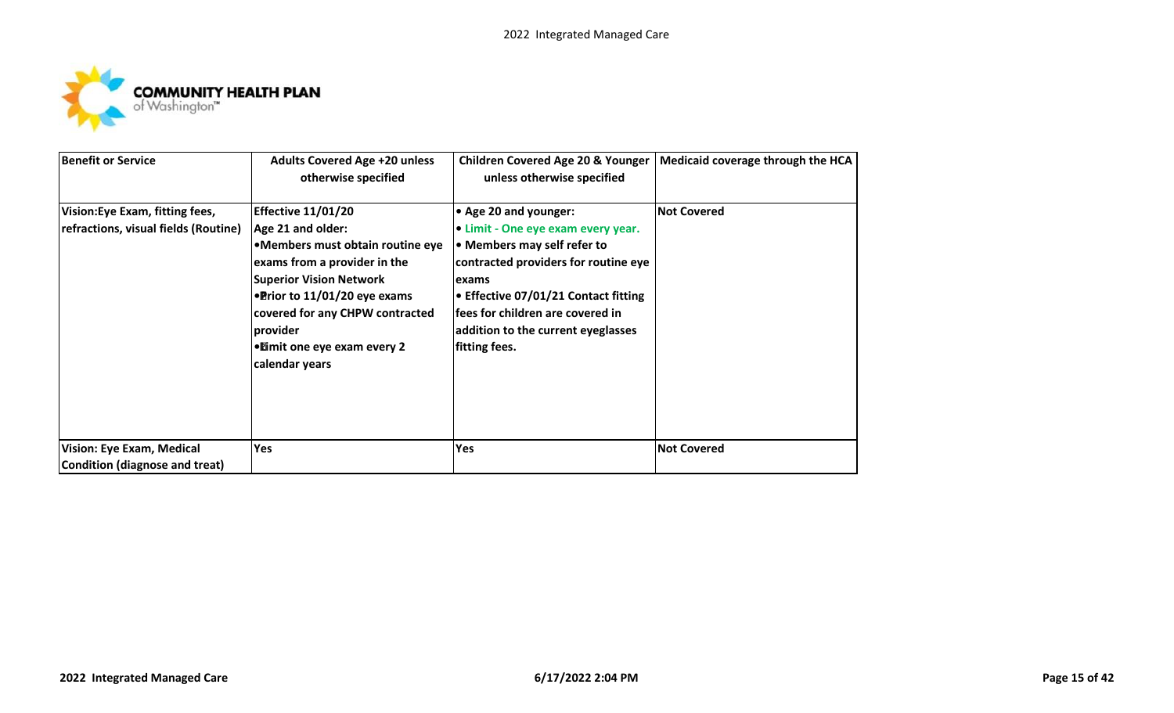

| <b>Benefit or Service</b>                                               | <b>Adults Covered Age +20 unless</b><br>otherwise specified                                                                                                                                                                                                                           | <b>Children Covered Age 20 &amp; Younger</b><br>unless otherwise specified                                                                                                                                                                                                       | Medicaid coverage through the HCA |
|-------------------------------------------------------------------------|---------------------------------------------------------------------------------------------------------------------------------------------------------------------------------------------------------------------------------------------------------------------------------------|----------------------------------------------------------------------------------------------------------------------------------------------------------------------------------------------------------------------------------------------------------------------------------|-----------------------------------|
| Vision: Eye Exam, fitting fees,<br>refractions, visual fields (Routine) | <b>Effective 11/01/20</b><br>Age 21 and older:<br>•Members must obtain routine eye<br>exams from a provider in the<br><b>Superior Vision Network</b><br>•Prior to 11/01/20 eye exams<br>covered for any CHPW contracted<br>provider<br>• Eimit one eye exam every 2<br>calendar years | • Age 20 and younger:<br>• Limit - One eye exam every year.<br>• Members may self refer to<br>contracted providers for routine eye<br>lexams<br>● Effective 07/01/21 Contact fitting<br>lfees for children are covered in<br>addition to the current eyeglasses<br>fitting fees. | <b>Not Covered</b>                |
| Vision: Eye Exam, Medical<br>Condition (diagnose and treat)             | Yes                                                                                                                                                                                                                                                                                   | <b>Yes</b>                                                                                                                                                                                                                                                                       | <b>Not Covered</b>                |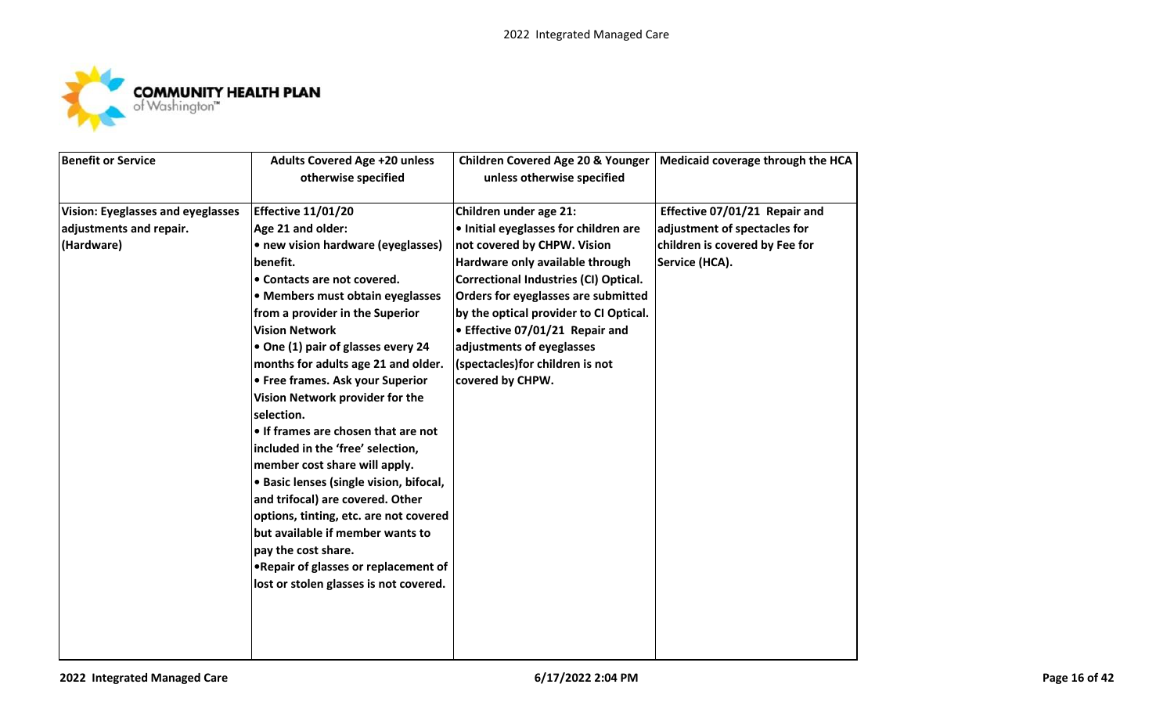

| <b>Benefit or Service</b>                                                         | <b>Adults Covered Age +20 unless</b><br>otherwise specified                                                                                                                                                                                                                                                                                                                                                                              | <b>Children Covered Age 20 &amp; Younger</b><br>unless otherwise specified                                                                                                                                                                                                                                                                                                                 | Medicaid coverage through the HCA                                                                                 |
|-----------------------------------------------------------------------------------|------------------------------------------------------------------------------------------------------------------------------------------------------------------------------------------------------------------------------------------------------------------------------------------------------------------------------------------------------------------------------------------------------------------------------------------|--------------------------------------------------------------------------------------------------------------------------------------------------------------------------------------------------------------------------------------------------------------------------------------------------------------------------------------------------------------------------------------------|-------------------------------------------------------------------------------------------------------------------|
| <b>Vision: Eyeglasses and eyeglasses</b><br>adjustments and repair.<br>(Hardware) | <b>Effective 11/01/20</b><br>Age 21 and older:<br>• new vision hardware (eyeglasses)<br>benefit.<br>• Contacts are not covered.<br>• Members must obtain eyeglasses<br>from a provider in the Superior<br><b>Vision Network</b><br>• One (1) pair of glasses every 24<br>months for adults age 21 and older.<br>• Free frames. Ask your Superior<br>Vision Network provider for the<br>selection.<br>• If frames are chosen that are not | Children under age 21:<br>• Initial eyeglasses for children are<br>not covered by CHPW. Vision<br>Hardware only available through<br><b>Correctional Industries (CI) Optical.</b><br>Orders for eyeglasses are submitted<br>by the optical provider to CI Optical.<br>• Effective 07/01/21 Repair and<br>adjustments of eyeglasses<br>(spectacles) for children is not<br>covered by CHPW. | Effective 07/01/21 Repair and<br>adjustment of spectacles for<br>children is covered by Fee for<br>Service (HCA). |
|                                                                                   | included in the 'free' selection,<br>member cost share will apply.<br>· Basic lenses (single vision, bifocal,<br>and trifocal) are covered. Other<br>options, tinting, etc. are not covered<br>but available if member wants to<br>pay the cost share.<br>. Repair of glasses or replacement of<br>lost or stolen glasses is not covered.                                                                                                |                                                                                                                                                                                                                                                                                                                                                                                            |                                                                                                                   |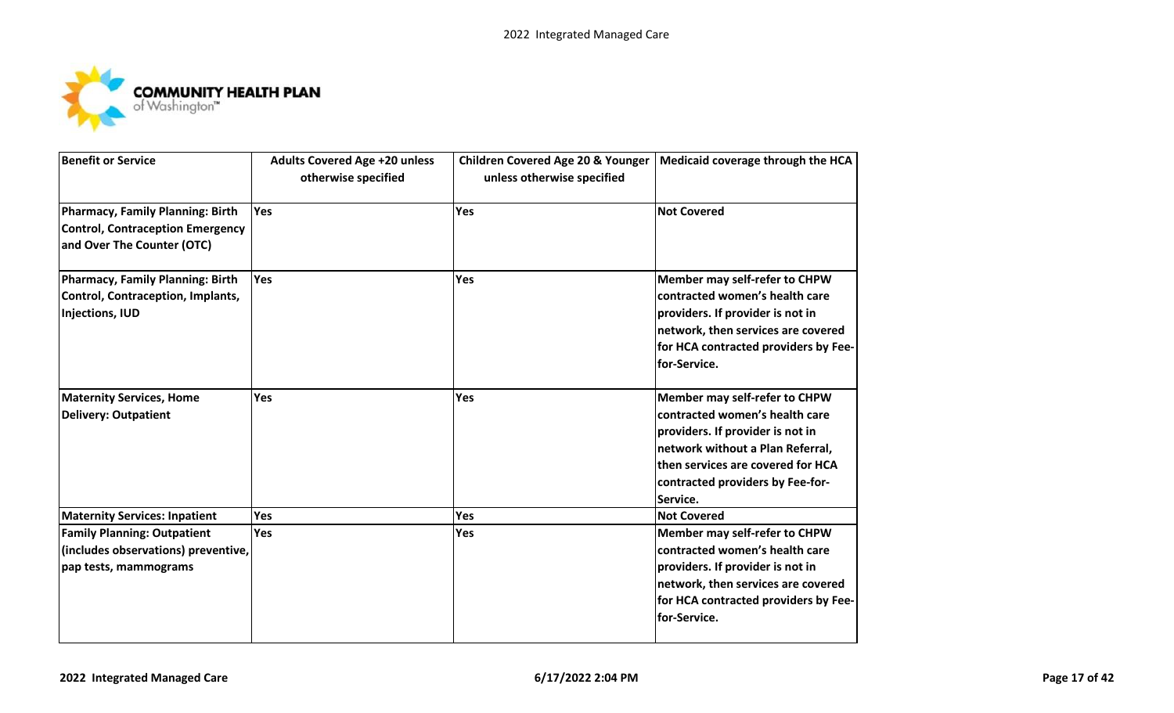

| <b>Benefit or Service</b>                                                                                        | <b>Adults Covered Age +20 unless</b><br>otherwise specified | <b>Children Covered Age 20 &amp; Younger</b><br>unless otherwise specified | Medicaid coverage through the HCA                                                                                                                                                                                            |
|------------------------------------------------------------------------------------------------------------------|-------------------------------------------------------------|----------------------------------------------------------------------------|------------------------------------------------------------------------------------------------------------------------------------------------------------------------------------------------------------------------------|
| <b>Pharmacy, Family Planning: Birth</b><br><b>Control, Contraception Emergency</b><br>and Over The Counter (OTC) | Yes                                                         | Yes                                                                        | <b>Not Covered</b>                                                                                                                                                                                                           |
| <b>Pharmacy, Family Planning: Birth</b><br>Control, Contraception, Implants,<br><b>Injections, IUD</b>           | Yes                                                         | Yes                                                                        | Member may self-refer to CHPW<br>contracted women's health care<br>providers. If provider is not in<br>network, then services are covered<br>for HCA contracted providers by Fee-<br>for-Service.                            |
| <b>Maternity Services, Home</b><br><b>Delivery: Outpatient</b>                                                   | Yes                                                         | Yes                                                                        | Member may self-refer to CHPW<br>contracted women's health care<br>providers. If provider is not in<br>network without a Plan Referral,<br>then services are covered for HCA<br>contracted providers by Fee-for-<br>Service. |
| <b>Maternity Services: Inpatient</b>                                                                             | Yes                                                         | Yes                                                                        | <b>Not Covered</b>                                                                                                                                                                                                           |
| <b>Family Planning: Outpatient</b><br>(includes observations) preventive,<br>pap tests, mammograms               | Yes                                                         | Yes                                                                        | Member may self-refer to CHPW<br>contracted women's health care<br>providers. If provider is not in<br>network, then services are covered<br>for HCA contracted providers by Fee-<br>for-Service.                            |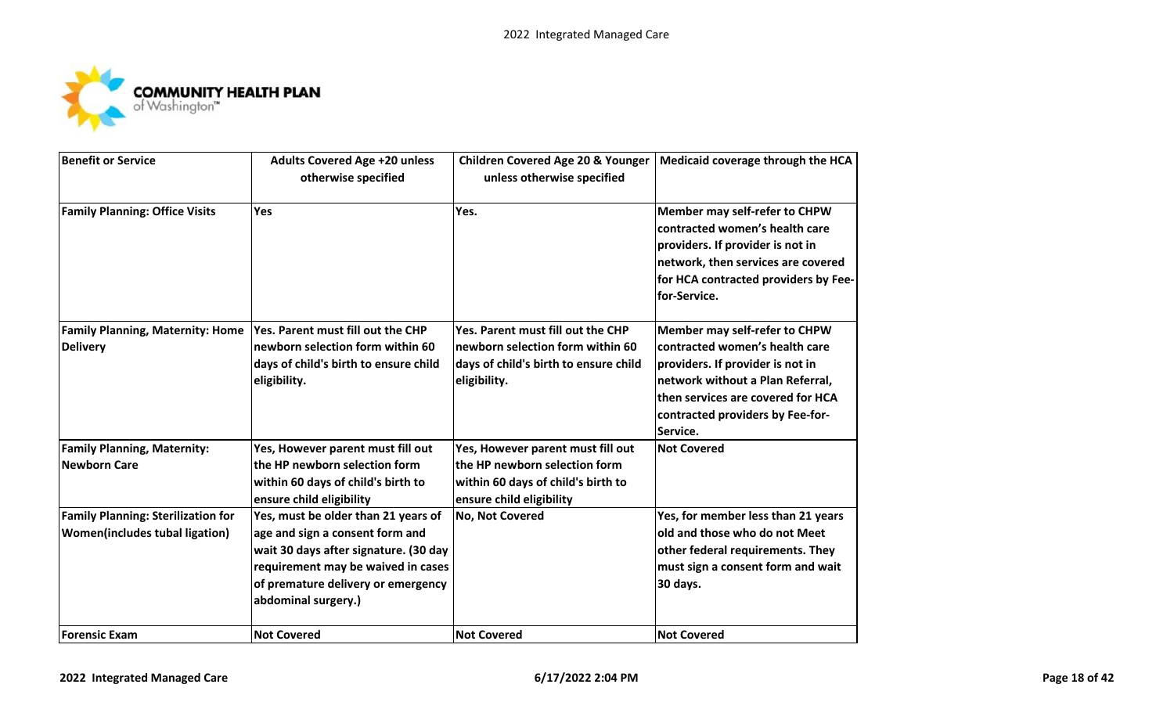

| <b>Benefit or Service</b>                                                          | <b>Adults Covered Age +20 unless</b><br>otherwise specified                                                                                                                                                        | <b>Children Covered Age 20 &amp; Younger</b><br>unless otherwise specified                                                           | Medicaid coverage through the HCA                                                                                                                                                                                            |
|------------------------------------------------------------------------------------|--------------------------------------------------------------------------------------------------------------------------------------------------------------------------------------------------------------------|--------------------------------------------------------------------------------------------------------------------------------------|------------------------------------------------------------------------------------------------------------------------------------------------------------------------------------------------------------------------------|
| <b>Family Planning: Office Visits</b>                                              | Yes                                                                                                                                                                                                                | Yes.                                                                                                                                 | <b>Member may self-refer to CHPW</b><br>contracted women's health care<br>providers. If provider is not in<br>network, then services are covered<br>for HCA contracted providers by Fee-<br>for-Service.                     |
| <b>Family Planning, Maternity: Home</b><br><b>Delivery</b>                         | Yes. Parent must fill out the CHP<br>newborn selection form within 60<br>days of child's birth to ensure child<br>eligibility.                                                                                     | Yes. Parent must fill out the CHP<br>newborn selection form within 60<br>days of child's birth to ensure child<br>eligibility.       | Member may self-refer to CHPW<br>contracted women's health care<br>providers. If provider is not in<br>network without a Plan Referral,<br>then services are covered for HCA<br>contracted providers by Fee-for-<br>Service. |
| <b>Family Planning, Maternity:</b><br><b>Newborn Care</b>                          | Yes, However parent must fill out<br>the HP newborn selection form<br>within 60 days of child's birth to<br>ensure child eligibility                                                                               | Yes, However parent must fill out<br>the HP newborn selection form<br>within 60 days of child's birth to<br>ensure child eligibility | <b>Not Covered</b>                                                                                                                                                                                                           |
| <b>Family Planning: Sterilization for</b><br><b>Women(includes tubal ligation)</b> | Yes, must be older than 21 years of<br>age and sign a consent form and<br>wait 30 days after signature. (30 day<br>requirement may be waived in cases<br>of premature delivery or emergency<br>abdominal surgery.) | No, Not Covered                                                                                                                      | Yes, for member less than 21 years<br>old and those who do not Meet<br>other federal requirements. They<br>must sign a consent form and wait<br>30 days.                                                                     |
| <b>Forensic Exam</b>                                                               | <b>Not Covered</b>                                                                                                                                                                                                 | <b>Not Covered</b>                                                                                                                   | <b>Not Covered</b>                                                                                                                                                                                                           |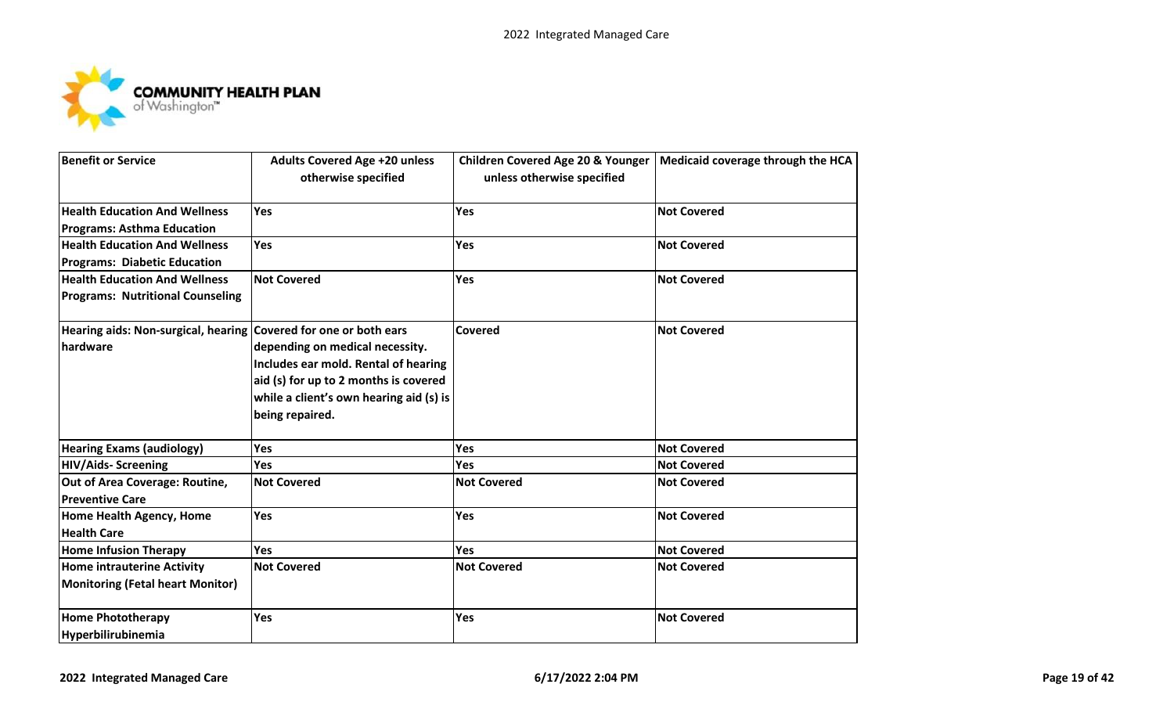

| <b>Benefit or Service</b>                                                    | <b>Adults Covered Age +20 unless</b><br>otherwise specified                                                                                                                    | <b>Children Covered Age 20 &amp; Younger</b><br>unless otherwise specified | Medicaid coverage through the HCA |
|------------------------------------------------------------------------------|--------------------------------------------------------------------------------------------------------------------------------------------------------------------------------|----------------------------------------------------------------------------|-----------------------------------|
| <b>Health Education And Wellness</b>                                         | <b>Yes</b>                                                                                                                                                                     | Yes                                                                        | <b>Not Covered</b>                |
| <b>Programs: Asthma Education</b>                                            |                                                                                                                                                                                |                                                                            |                                   |
| <b>Health Education And Wellness</b>                                         | <b>Yes</b>                                                                                                                                                                     | Yes                                                                        | <b>Not Covered</b>                |
| <b>Programs: Diabetic Education</b><br><b>Health Education And Wellness</b>  |                                                                                                                                                                                |                                                                            |                                   |
| <b>Programs: Nutritional Counseling</b>                                      | <b>Not Covered</b>                                                                                                                                                             | Yes                                                                        | <b>Not Covered</b>                |
|                                                                              |                                                                                                                                                                                |                                                                            |                                   |
| Hearing aids: Non-surgical, hearing Covered for one or both ears<br>hardware | depending on medical necessity.<br>Includes ear mold. Rental of hearing<br>aid (s) for up to 2 months is covered<br>while a client's own hearing aid (s) is<br>being repaired. | <b>Covered</b>                                                             | <b>Not Covered</b>                |
| <b>Hearing Exams (audiology)</b>                                             | Yes                                                                                                                                                                            | Yes                                                                        | <b>Not Covered</b>                |
| <b>HIV/Aids- Screening</b>                                                   | Yes                                                                                                                                                                            | Yes                                                                        | <b>Not Covered</b>                |
| Out of Area Coverage: Routine,<br><b>Preventive Care</b>                     | <b>Not Covered</b>                                                                                                                                                             | <b>Not Covered</b>                                                         | <b>Not Covered</b>                |
| Home Health Agency, Home<br><b>Health Care</b>                               | Yes                                                                                                                                                                            | Yes                                                                        | <b>Not Covered</b>                |
| <b>Home Infusion Therapy</b>                                                 | <b>Yes</b>                                                                                                                                                                     | Yes                                                                        | <b>Not Covered</b>                |
| <b>Home intrauterine Activity</b><br><b>Monitoring (Fetal heart Monitor)</b> | <b>Not Covered</b>                                                                                                                                                             | <b>Not Covered</b>                                                         | <b>Not Covered</b>                |
| <b>Home Phototherapy</b><br>Hyperbilirubinemia                               | Yes                                                                                                                                                                            | Yes                                                                        | <b>Not Covered</b>                |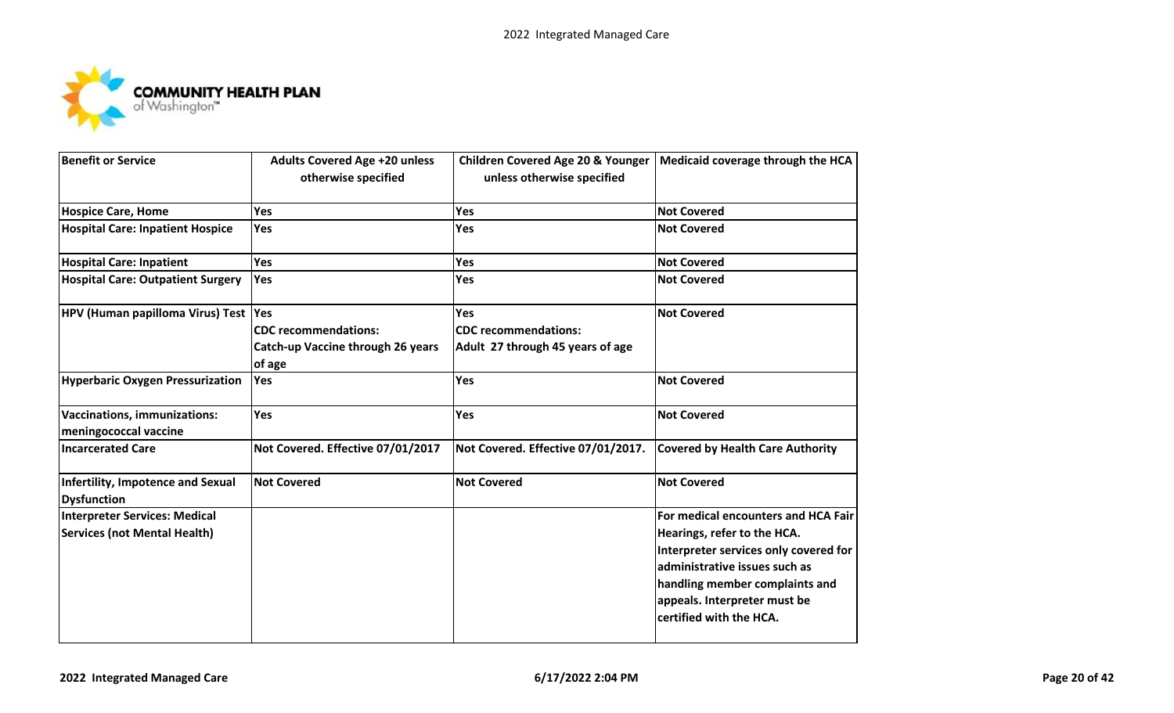

| <b>Benefit or Service</b>                                            | <b>Adults Covered Age +20 unless</b><br>otherwise specified | <b>Children Covered Age 20 &amp; Younger</b><br>unless otherwise specified | Medicaid coverage through the HCA                                                                                                                                                                              |
|----------------------------------------------------------------------|-------------------------------------------------------------|----------------------------------------------------------------------------|----------------------------------------------------------------------------------------------------------------------------------------------------------------------------------------------------------------|
| <b>Hospice Care, Home</b>                                            | Yes                                                         | Yes                                                                        | <b>Not Covered</b>                                                                                                                                                                                             |
| <b>Hospital Care: Inpatient Hospice</b>                              | <b>Yes</b>                                                  | <b>Yes</b>                                                                 | <b>Not Covered</b>                                                                                                                                                                                             |
| <b>Hospital Care: Inpatient</b>                                      | Yes                                                         | Yes                                                                        | <b>Not Covered</b>                                                                                                                                                                                             |
| <b>Hospital Care: Outpatient Surgery</b>                             | Yes                                                         | Yes                                                                        | <b>Not Covered</b>                                                                                                                                                                                             |
| HPV (Human papilloma Virus) Test Yes                                 |                                                             | Yes                                                                        | <b>Not Covered</b>                                                                                                                                                                                             |
|                                                                      | <b>CDC</b> recommendations:                                 | <b>CDC</b> recommendations:                                                |                                                                                                                                                                                                                |
|                                                                      | Catch-up Vaccine through 26 years                           | Adult 27 through 45 years of age                                           |                                                                                                                                                                                                                |
|                                                                      | of age                                                      |                                                                            |                                                                                                                                                                                                                |
| <b>Hyperbaric Oxygen Pressurization</b>                              | Yes                                                         | <b>Yes</b>                                                                 | <b>Not Covered</b>                                                                                                                                                                                             |
| Vaccinations, immunizations:<br>meningococcal vaccine                | Yes                                                         | Yes                                                                        | <b>Not Covered</b>                                                                                                                                                                                             |
| <b>Incarcerated Care</b>                                             | Not Covered. Effective 07/01/2017                           | Not Covered. Effective 07/01/2017.                                         | <b>Covered by Health Care Authority</b>                                                                                                                                                                        |
| Infertility, Impotence and Sexual<br><b>Dysfunction</b>              | <b>Not Covered</b>                                          | <b>Not Covered</b>                                                         | <b>Not Covered</b>                                                                                                                                                                                             |
| Interpreter Services: Medical<br><b>Services (not Mental Health)</b> |                                                             |                                                                            | For medical encounters and HCA Fair<br>Hearings, refer to the HCA.<br>Interpreter services only covered for<br>administrative issues such as<br>handling member complaints and<br>appeals. Interpreter must be |
|                                                                      |                                                             |                                                                            | certified with the HCA.                                                                                                                                                                                        |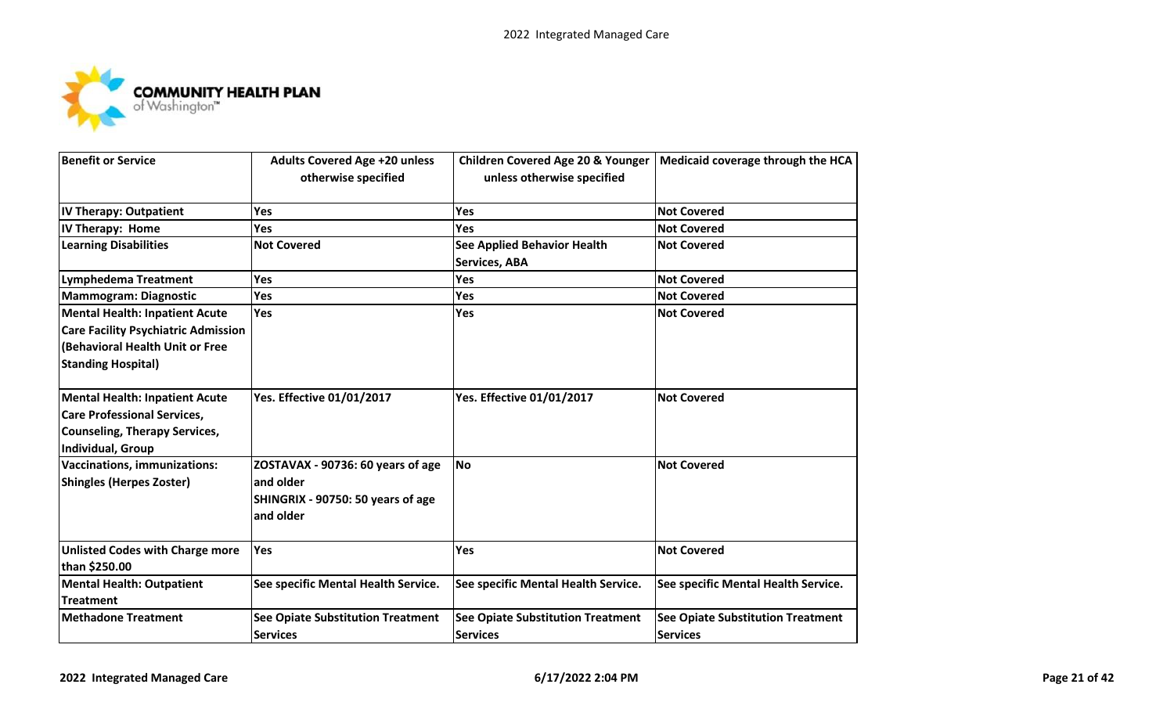

| <b>Benefit or Service</b>                                                                                                                           | <b>Adults Covered Age +20 unless</b><br>otherwise specified                                       | <b>Children Covered Age 20 &amp; Younger</b><br>unless otherwise specified | Medicaid coverage through the HCA                           |
|-----------------------------------------------------------------------------------------------------------------------------------------------------|---------------------------------------------------------------------------------------------------|----------------------------------------------------------------------------|-------------------------------------------------------------|
| <b>IV Therapy: Outpatient</b>                                                                                                                       | Yes                                                                                               | Yes                                                                        | <b>Not Covered</b>                                          |
| IV Therapy: Home                                                                                                                                    | Yes                                                                                               | Yes                                                                        | <b>Not Covered</b>                                          |
| <b>Learning Disabilities</b>                                                                                                                        | <b>Not Covered</b>                                                                                | <b>See Applied Behavior Health</b><br>Services, ABA                        | <b>Not Covered</b>                                          |
| <b>Lymphedema Treatment</b>                                                                                                                         | Yes                                                                                               | Yes                                                                        | <b>Not Covered</b>                                          |
| <b>Mammogram: Diagnostic</b>                                                                                                                        | Yes                                                                                               | Yes                                                                        | <b>Not Covered</b>                                          |
| <b>Mental Health: Inpatient Acute</b><br><b>Care Facility Psychiatric Admission</b><br>(Behavioral Health Unit or Free<br><b>Standing Hospital)</b> | Yes                                                                                               | Yes                                                                        | <b>Not Covered</b>                                          |
| <b>Mental Health: Inpatient Acute</b><br><b>Care Professional Services,</b><br><b>Counseling, Therapy Services,</b><br>Individual, Group            | <b>Yes. Effective 01/01/2017</b>                                                                  | <b>Yes. Effective 01/01/2017</b>                                           | <b>Not Covered</b>                                          |
| <b>Vaccinations, immunizations:</b><br><b>Shingles (Herpes Zoster)</b>                                                                              | ZOSTAVAX - 90736: 60 years of age<br>and older<br>SHINGRIX - 90750: 50 years of age<br>land older | <b>INo</b>                                                                 | <b>Not Covered</b>                                          |
| <b>Unlisted Codes with Charge more</b><br>than \$250.00                                                                                             | Yes                                                                                               | Yes                                                                        | <b>Not Covered</b>                                          |
| <b>Mental Health: Outpatient</b><br><b>Treatment</b>                                                                                                | See specific Mental Health Service.                                                               | See specific Mental Health Service.                                        | See specific Mental Health Service.                         |
| <b>Methadone Treatment</b>                                                                                                                          | <b>See Opiate Substitution Treatment</b><br><b>Services</b>                                       | <b>See Opiate Substitution Treatment</b><br><b>Services</b>                | <b>See Opiate Substitution Treatment</b><br><b>Services</b> |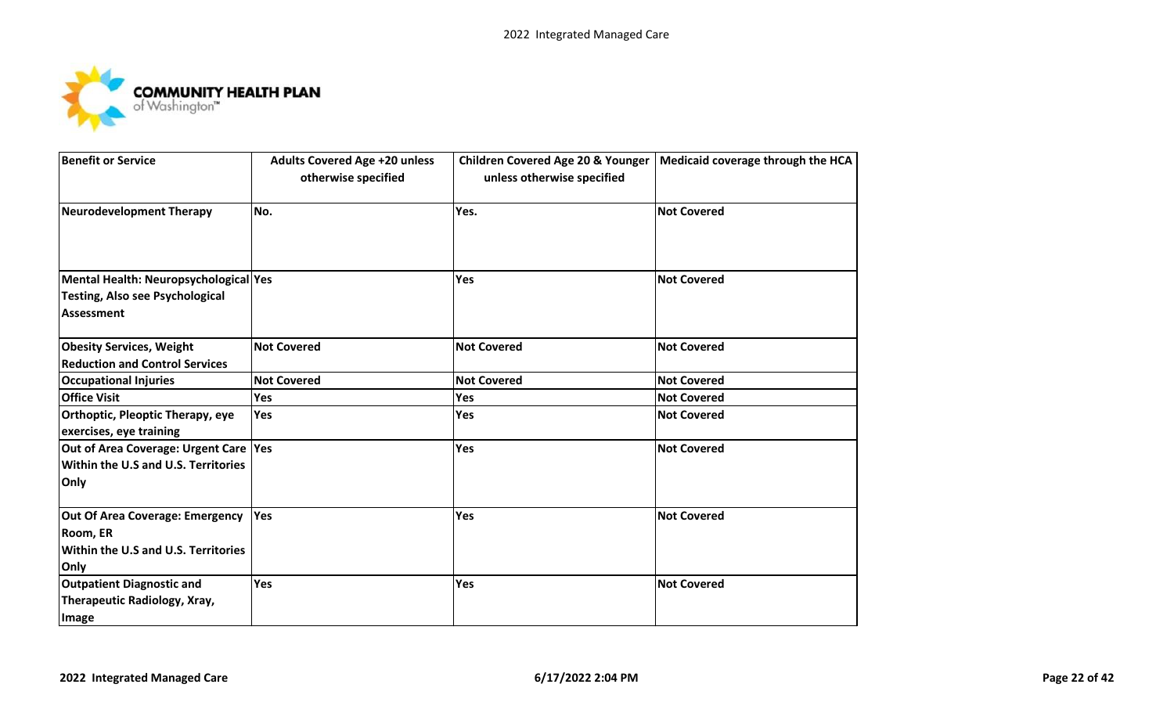

| <b>Benefit or Service</b>                                                                            | <b>Adults Covered Age +20 unless</b><br>otherwise specified | <b>Children Covered Age 20 &amp; Younger</b><br>unless otherwise specified | Medicaid coverage through the HCA |
|------------------------------------------------------------------------------------------------------|-------------------------------------------------------------|----------------------------------------------------------------------------|-----------------------------------|
| <b>Neurodevelopment Therapy</b>                                                                      | No.                                                         | Yes.                                                                       | <b>Not Covered</b>                |
| Mental Health: Neuropsychological Yes<br><b>Testing, Also see Psychological</b><br><b>Assessment</b> |                                                             | Yes                                                                        | <b>Not Covered</b>                |
| <b>Obesity Services, Weight</b><br><b>Reduction and Control Services</b>                             | <b>Not Covered</b>                                          | <b>Not Covered</b>                                                         | <b>Not Covered</b>                |
| <b>Occupational Injuries</b>                                                                         | <b>Not Covered</b>                                          | <b>Not Covered</b>                                                         | <b>Not Covered</b>                |
| <b>Office Visit</b>                                                                                  | Yes                                                         | Yes                                                                        | <b>Not Covered</b>                |
| <b>Orthoptic, Pleoptic Therapy, eye</b><br>exercises, eye training                                   | Yes                                                         | Yes                                                                        | <b>Not Covered</b>                |
| Out of Area Coverage: Urgent Care  Yes<br>Within the U.S and U.S. Territories<br>Only                |                                                             | Yes                                                                        | <b>Not Covered</b>                |
| Out Of Area Coverage: Emergency<br>Room, ER<br>Within the U.S and U.S. Territories<br>Only           | <b>Yes</b>                                                  | Yes                                                                        | <b>Not Covered</b>                |
| <b>Outpatient Diagnostic and</b><br>Therapeutic Radiology, Xray,<br>Image                            | Yes                                                         | Yes                                                                        | <b>Not Covered</b>                |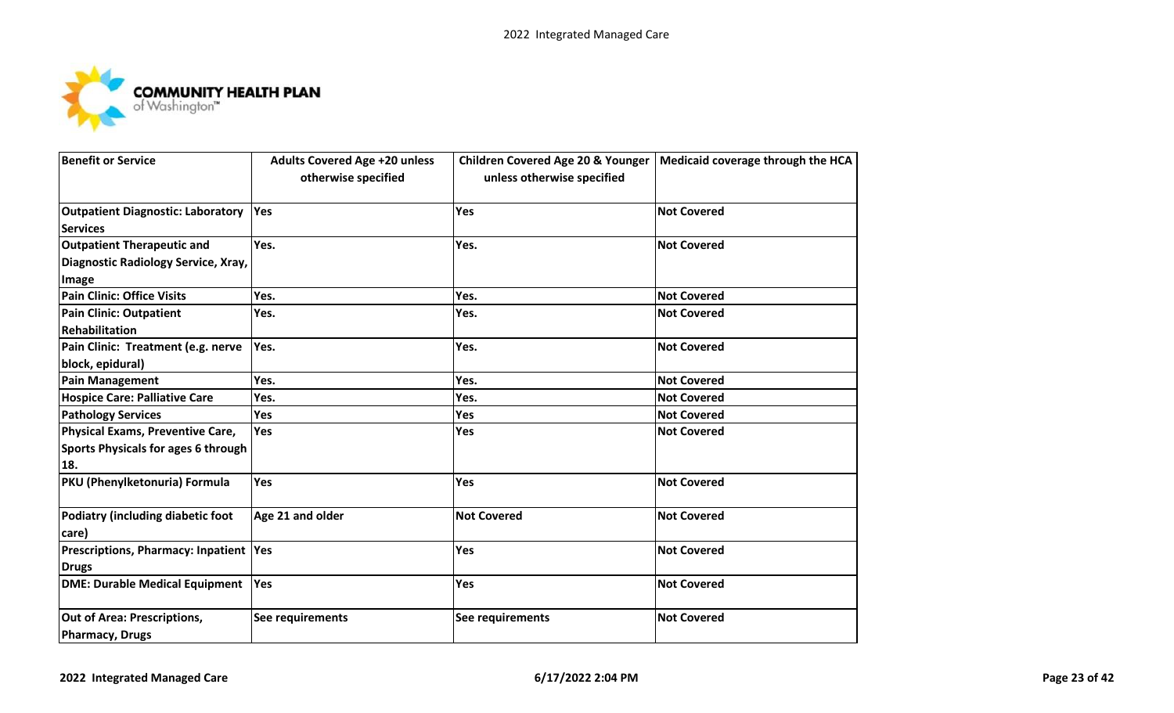

| <b>Benefit or Service</b>                                    | <b>Adults Covered Age +20 unless</b><br>otherwise specified | <b>Children Covered Age 20 &amp; Younger</b><br>unless otherwise specified | Medicaid coverage through the HCA |
|--------------------------------------------------------------|-------------------------------------------------------------|----------------------------------------------------------------------------|-----------------------------------|
| <b>Outpatient Diagnostic: Laboratory</b>                     | <b>Yes</b>                                                  | Yes                                                                        | <b>Not Covered</b>                |
| <b>Services</b>                                              |                                                             |                                                                            |                                   |
| <b>Outpatient Therapeutic and</b>                            | Yes.                                                        | Yes.                                                                       | <b>Not Covered</b>                |
| Diagnostic Radiology Service, Xray,                          |                                                             |                                                                            |                                   |
| Image                                                        |                                                             |                                                                            |                                   |
| <b>Pain Clinic: Office Visits</b>                            | Yes.                                                        | Yes.                                                                       | <b>Not Covered</b>                |
| <b>Pain Clinic: Outpatient</b><br>Rehabilitation             | Yes.                                                        | Yes.                                                                       | <b>Not Covered</b>                |
| Pain Clinic: Treatment (e.g. nerve<br>block, epidural)       | lYes.                                                       | Yes.                                                                       | <b>Not Covered</b>                |
| <b>Pain Management</b>                                       | Yes.                                                        | Yes.                                                                       | <b>Not Covered</b>                |
| <b>Hospice Care: Palliative Care</b>                         | Yes.                                                        | Yes.                                                                       | <b>Not Covered</b>                |
| <b>Pathology Services</b>                                    | Yes                                                         | Yes                                                                        | <b>Not Covered</b>                |
| Physical Exams, Preventive Care,                             | Yes                                                         | Yes                                                                        | <b>Not Covered</b>                |
| Sports Physicals for ages 6 through<br>18.                   |                                                             |                                                                            |                                   |
| PKU (Phenylketonuria) Formula                                | Yes                                                         | Yes                                                                        | <b>Not Covered</b>                |
| Podiatry (including diabetic foot<br>care)                   | Age 21 and older                                            | <b>Not Covered</b>                                                         | <b>Not Covered</b>                |
| Prescriptions, Pharmacy: Inpatient  Yes<br><b>Drugs</b>      |                                                             | Yes                                                                        | <b>Not Covered</b>                |
| <b>DME: Durable Medical Equipment</b>                        | <b>Yes</b>                                                  | Yes                                                                        | <b>Not Covered</b>                |
| <b>Out of Area: Prescriptions,</b><br><b>Pharmacy, Drugs</b> | See requirements                                            | See requirements                                                           | <b>Not Covered</b>                |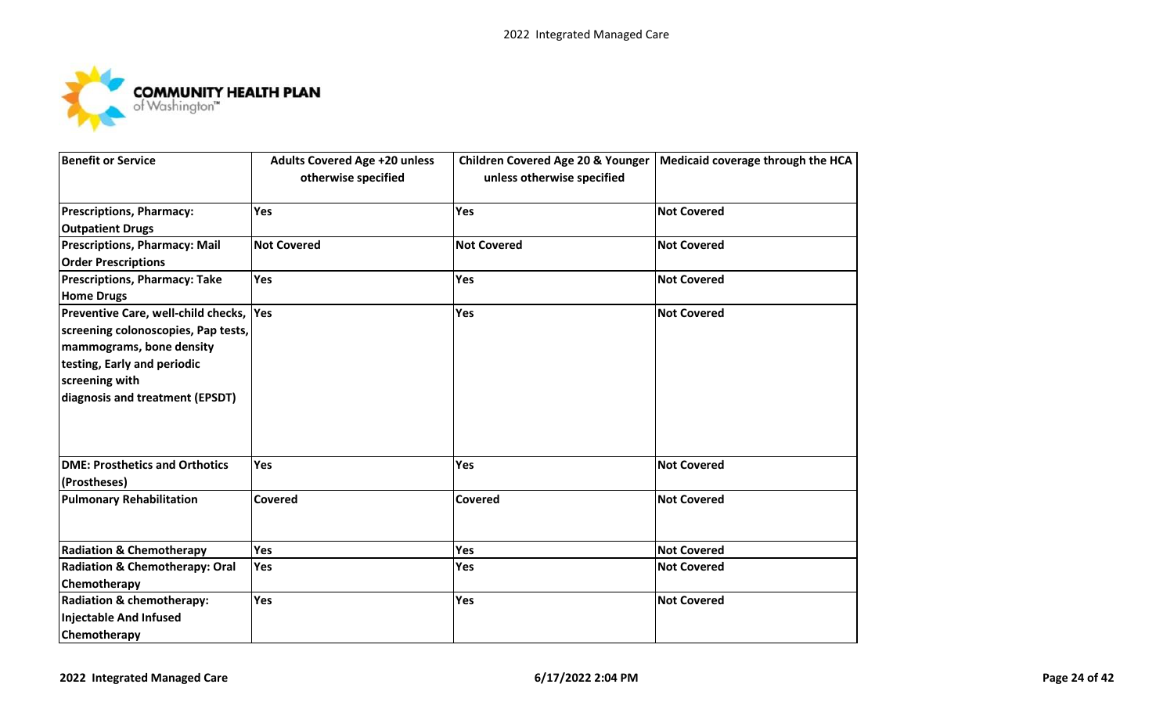

| <b>Benefit or Service</b>                                                                                                                                                                      | <b>Adults Covered Age +20 unless</b><br>otherwise specified | <b>Children Covered Age 20 &amp; Younger</b><br>unless otherwise specified | Medicaid coverage through the HCA |
|------------------------------------------------------------------------------------------------------------------------------------------------------------------------------------------------|-------------------------------------------------------------|----------------------------------------------------------------------------|-----------------------------------|
| <b>Prescriptions, Pharmacy:</b><br><b>Outpatient Drugs</b>                                                                                                                                     | Yes                                                         | Yes                                                                        | <b>Not Covered</b>                |
| <b>Prescriptions, Pharmacy: Mail</b><br><b>Order Prescriptions</b>                                                                                                                             | <b>Not Covered</b>                                          | <b>Not Covered</b>                                                         | <b>Not Covered</b>                |
| <b>Prescriptions, Pharmacy: Take</b><br><b>Home Drugs</b>                                                                                                                                      | Yes                                                         | Yes                                                                        | <b>Not Covered</b>                |
| Preventive Care, well-child checks, Yes<br>screening colonoscopies, Pap tests,<br>mammograms, bone density<br>testing, Early and periodic<br>screening with<br>diagnosis and treatment (EPSDT) |                                                             | <b>Yes</b>                                                                 | <b>Not Covered</b>                |
| <b>DME: Prosthetics and Orthotics</b><br>(Prostheses)                                                                                                                                          | Yes                                                         | Yes                                                                        | <b>Not Covered</b>                |
| <b>Pulmonary Rehabilitation</b>                                                                                                                                                                | <b>Covered</b>                                              | Covered                                                                    | <b>Not Covered</b>                |
| <b>Radiation &amp; Chemotherapy</b>                                                                                                                                                            | Yes                                                         | <b>Yes</b>                                                                 | <b>Not Covered</b>                |
| <b>Radiation &amp; Chemotherapy: Oral</b><br>Chemotherapy                                                                                                                                      | Yes                                                         | Yes                                                                        | <b>Not Covered</b>                |
| Radiation & chemotherapy:<br><b>Injectable And Infused</b><br>Chemotherapy                                                                                                                     | Yes                                                         | Yes                                                                        | <b>Not Covered</b>                |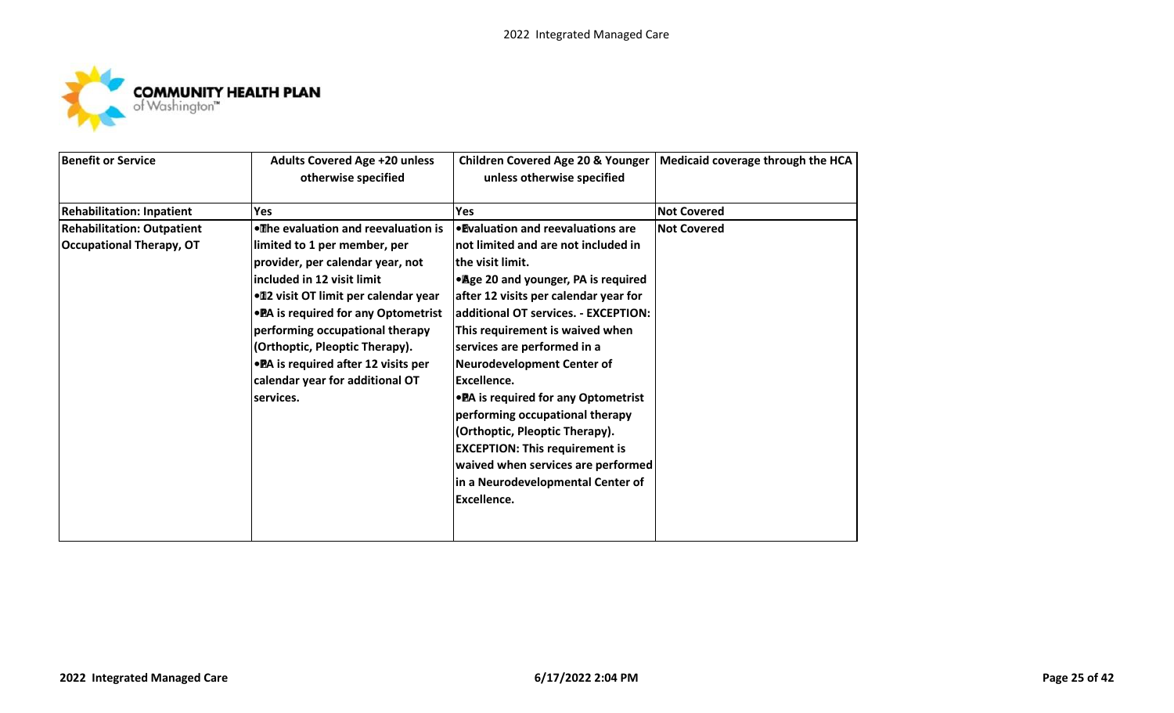

| <b>Benefit or Service</b>         | <b>Adults Covered Age +20 unless</b><br>otherwise specified      | <b>Children Covered Age 20 &amp; Younger</b><br>unless otherwise specified | Medicaid coverage through the HCA |
|-----------------------------------|------------------------------------------------------------------|----------------------------------------------------------------------------|-----------------------------------|
| <b>Rehabilitation: Inpatient</b>  | Yes                                                              | <b>Yes</b>                                                                 | <b>Not Covered</b>                |
| <b>Rehabilitation: Outpatient</b> | . The evaluation and reevaluation is                             | <b>.</b> Evaluation and reevaluations are                                  | <b>Not Covered</b>                |
| <b>Occupational Therapy, OT</b>   | limited to 1 per member, per<br>provider, per calendar year, not | not limited and are not included in<br>the visit limit.                    |                                   |
|                                   | included in 12 visit limit                                       | • Age 20 and younger, PA is required                                       |                                   |
|                                   | •12 visit OT limit per calendar year                             | after 12 visits per calendar year for                                      |                                   |
|                                   | . <b>PA</b> is required for any Optometrist                      | additional OT services. - EXCEPTION:                                       |                                   |
|                                   | performing occupational therapy                                  | This requirement is waived when                                            |                                   |
|                                   | (Orthoptic, Pleoptic Therapy).                                   | services are performed in a                                                |                                   |
|                                   | • PA is required after 12 visits per                             | <b>Neurodevelopment Center of</b>                                          |                                   |
|                                   | calendar year for additional OT                                  | Excellence.                                                                |                                   |
|                                   | services.                                                        | • PA is required for any Optometrist                                       |                                   |
|                                   |                                                                  | performing occupational therapy                                            |                                   |
|                                   |                                                                  | (Orthoptic, Pleoptic Therapy).                                             |                                   |
|                                   |                                                                  | <b>EXCEPTION: This requirement is</b>                                      |                                   |
|                                   |                                                                  | waived when services are performed                                         |                                   |
|                                   |                                                                  | in a Neurodevelopmental Center of                                          |                                   |
|                                   |                                                                  | Excellence.                                                                |                                   |
|                                   |                                                                  |                                                                            |                                   |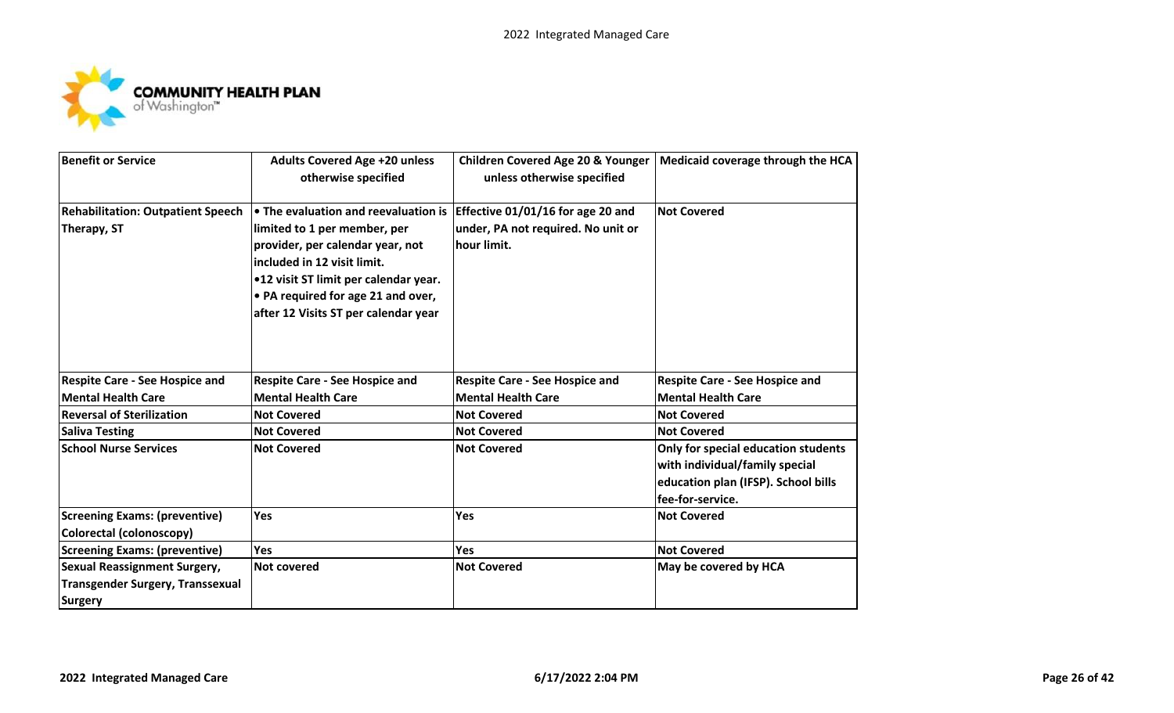

| <b>Benefit or Service</b>                                                                        | <b>Adults Covered Age +20 unless</b><br>otherwise specified                                                                                                                                                                                                    | <b>Children Covered Age 20 &amp; Younger</b><br>unless otherwise specified             | Medicaid coverage through the HCA                                                                                                |
|--------------------------------------------------------------------------------------------------|----------------------------------------------------------------------------------------------------------------------------------------------------------------------------------------------------------------------------------------------------------------|----------------------------------------------------------------------------------------|----------------------------------------------------------------------------------------------------------------------------------|
| <b>Rehabilitation: Outpatient Speech</b><br>Therapy, ST                                          | • The evaluation and reevaluation is<br>limited to 1 per member, per<br>provider, per calendar year, not<br>included in 12 visit limit.<br>.12 visit ST limit per calendar year.<br>• PA required for age 21 and over,<br>after 12 Visits ST per calendar year | Effective 01/01/16 for age 20 and<br>under, PA not required. No unit or<br>hour limit. | <b>Not Covered</b>                                                                                                               |
| <b>Respite Care - See Hospice and</b><br><b>Mental Health Care</b>                               | <b>Respite Care - See Hospice and</b><br><b>Mental Health Care</b>                                                                                                                                                                                             | <b>Respite Care - See Hospice and</b><br><b>Mental Health Care</b>                     | <b>Respite Care - See Hospice and</b><br><b>Mental Health Care</b>                                                               |
| <b>Reversal of Sterilization</b>                                                                 | <b>Not Covered</b>                                                                                                                                                                                                                                             | <b>Not Covered</b>                                                                     | <b>Not Covered</b>                                                                                                               |
| <b>Saliva Testing</b>                                                                            | <b>Not Covered</b>                                                                                                                                                                                                                                             | <b>Not Covered</b>                                                                     | <b>Not Covered</b>                                                                                                               |
| <b>School Nurse Services</b>                                                                     | <b>Not Covered</b>                                                                                                                                                                                                                                             | <b>Not Covered</b>                                                                     | Only for special education students<br>with individual/family special<br>education plan (IFSP). School bills<br>fee-for-service. |
| <b>Screening Exams: (preventive)</b>                                                             | Yes                                                                                                                                                                                                                                                            | Yes                                                                                    | <b>Not Covered</b>                                                                                                               |
| Colorectal (colonoscopy)                                                                         |                                                                                                                                                                                                                                                                |                                                                                        |                                                                                                                                  |
| <b>Screening Exams: (preventive)</b>                                                             | Yes                                                                                                                                                                                                                                                            | Yes                                                                                    | <b>Not Covered</b>                                                                                                               |
| <b>Sexual Reassignment Surgery,</b><br><b>Transgender Surgery, Transsexual</b><br><b>Surgery</b> | <b>Not covered</b>                                                                                                                                                                                                                                             | <b>Not Covered</b>                                                                     | May be covered by HCA                                                                                                            |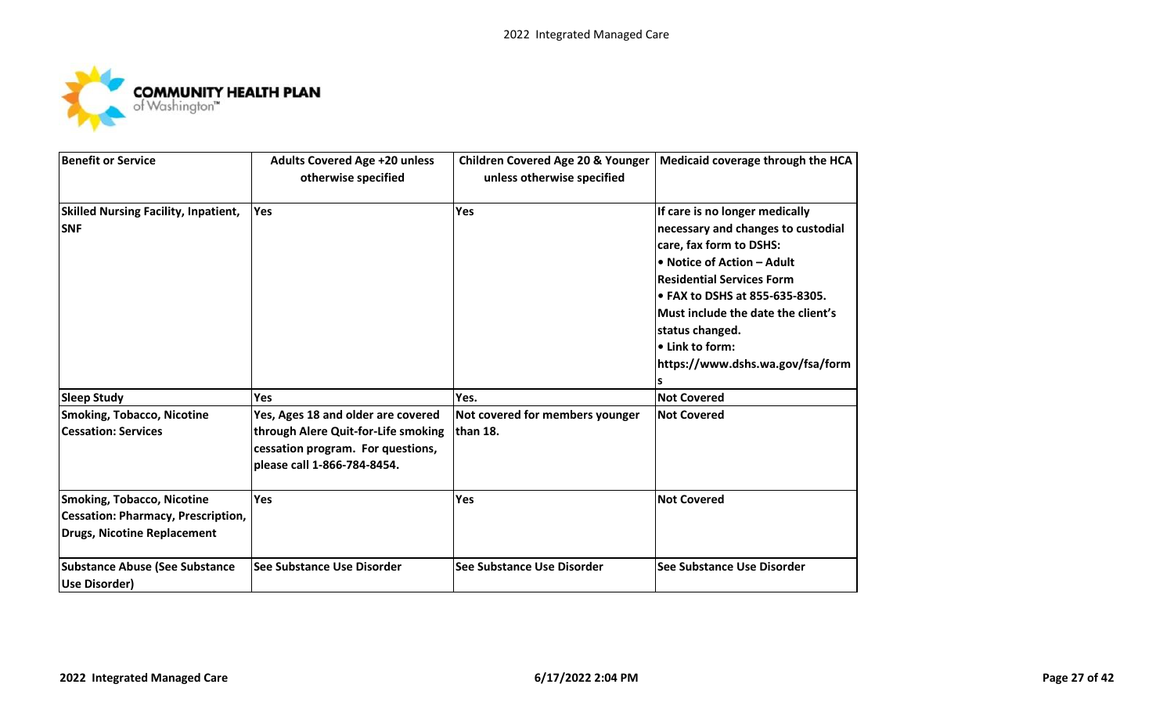

| <b>Benefit or Service</b>                                                                                            | <b>Adults Covered Age +20 unless</b><br>otherwise specified                                                                                   | <b>Children Covered Age 20 &amp; Younger</b><br>unless otherwise specified | Medicaid coverage through the HCA                                                                                                                                                                                                                                                                                   |
|----------------------------------------------------------------------------------------------------------------------|-----------------------------------------------------------------------------------------------------------------------------------------------|----------------------------------------------------------------------------|---------------------------------------------------------------------------------------------------------------------------------------------------------------------------------------------------------------------------------------------------------------------------------------------------------------------|
| <b>Skilled Nursing Facility, Inpatient,</b><br><b>SNF</b>                                                            | Yes                                                                                                                                           | Yes                                                                        | If care is no longer medically<br>necessary and changes to custodial<br>care, fax form to DSHS:<br>• Notice of Action - Adult<br><b>Residential Services Form</b><br>• FAX to DSHS at 855-635-8305.<br>Must include the date the client's<br>status changed.<br>• Link to form:<br>https://www.dshs.wa.gov/fsa/form |
| <b>Sleep Study</b>                                                                                                   | <b>Yes</b>                                                                                                                                    | Yes.                                                                       | <b>Not Covered</b>                                                                                                                                                                                                                                                                                                  |
| <b>Smoking, Tobacco, Nicotine</b><br><b>Cessation: Services</b>                                                      | Yes, Ages 18 and older are covered<br>through Alere Quit-for-Life smoking<br>cessation program. For questions,<br>please call 1-866-784-8454. | Not covered for members younger<br>than 18.                                | <b>Not Covered</b>                                                                                                                                                                                                                                                                                                  |
| <b>Smoking, Tobacco, Nicotine</b><br><b>Cessation: Pharmacy, Prescription,</b><br><b>Drugs, Nicotine Replacement</b> | Yes                                                                                                                                           | Yes                                                                        | <b>Not Covered</b>                                                                                                                                                                                                                                                                                                  |
| <b>Substance Abuse (See Substance</b><br>Use Disorder)                                                               | See Substance Use Disorder                                                                                                                    | See Substance Use Disorder                                                 | See Substance Use Disorder                                                                                                                                                                                                                                                                                          |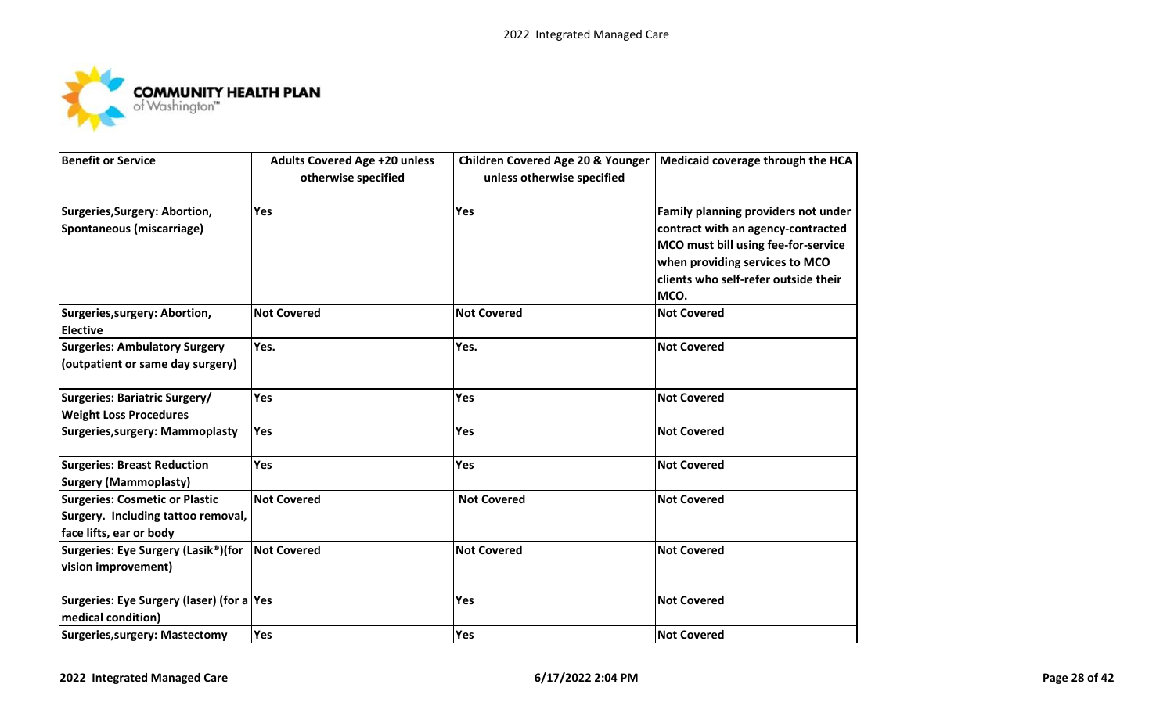

| <b>Benefit or Service</b>                        | <b>Adults Covered Age +20 unless</b><br>otherwise specified | <b>Children Covered Age 20 &amp; Younger</b><br>unless otherwise specified | Medicaid coverage through the HCA    |
|--------------------------------------------------|-------------------------------------------------------------|----------------------------------------------------------------------------|--------------------------------------|
| Surgeries, Surgery: Abortion,                    | Yes                                                         | Yes                                                                        | Family planning providers not under  |
| Spontaneous (miscarriage)                        |                                                             |                                                                            | contract with an agency-contracted   |
|                                                  |                                                             |                                                                            | MCO must bill using fee-for-service  |
|                                                  |                                                             |                                                                            | when providing services to MCO       |
|                                                  |                                                             |                                                                            | clients who self-refer outside their |
|                                                  |                                                             |                                                                            | MCO.                                 |
| Surgeries, surgery: Abortion,<br><b>Elective</b> | <b>Not Covered</b>                                          | <b>Not Covered</b>                                                         | <b>Not Covered</b>                   |
| <b>Surgeries: Ambulatory Surgery</b>             | Yes.                                                        | Yes.                                                                       | <b>Not Covered</b>                   |
| (outpatient or same day surgery)                 |                                                             |                                                                            |                                      |
| <b>Surgeries: Bariatric Surgery/</b>             | Yes                                                         | Yes                                                                        | <b>Not Covered</b>                   |
| <b>Weight Loss Procedures</b>                    |                                                             |                                                                            |                                      |
| <b>Surgeries, surgery: Mammoplasty</b>           | Yes                                                         | Yes                                                                        | <b>Not Covered</b>                   |
| <b>Surgeries: Breast Reduction</b>               | Yes                                                         | Yes                                                                        | <b>Not Covered</b>                   |
| <b>Surgery (Mammoplasty)</b>                     |                                                             |                                                                            |                                      |
| <b>Surgeries: Cosmetic or Plastic</b>            | <b>Not Covered</b>                                          | <b>Not Covered</b>                                                         | <b>Not Covered</b>                   |
| Surgery. Including tattoo removal,               |                                                             |                                                                            |                                      |
| face lifts, ear or body                          |                                                             |                                                                            |                                      |
| Surgeries: Eye Surgery (Lasik®)(for              | <b>Not Covered</b>                                          | <b>Not Covered</b>                                                         | <b>Not Covered</b>                   |
| vision improvement)                              |                                                             |                                                                            |                                      |
| Surgeries: Eye Surgery (laser) (for a Yes        |                                                             | Yes                                                                        | <b>Not Covered</b>                   |
| medical condition)                               |                                                             |                                                                            |                                      |
| <b>Surgeries, surgery: Mastectomy</b>            | Yes                                                         | <b>Yes</b>                                                                 | <b>Not Covered</b>                   |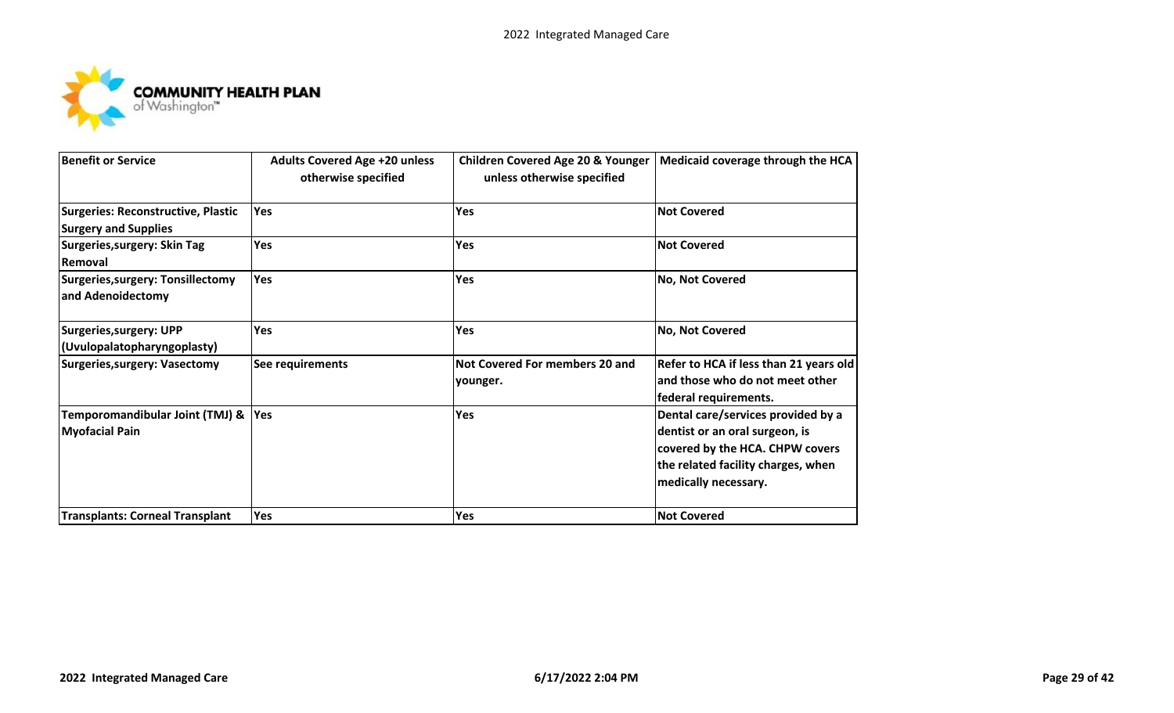

| <b>Benefit or Service</b>                                                | <b>Adults Covered Age +20 unless</b><br>otherwise specified | <b>Children Covered Age 20 &amp; Younger</b><br>unless otherwise specified | Medicaid coverage through the HCA                                                                                                                                     |
|--------------------------------------------------------------------------|-------------------------------------------------------------|----------------------------------------------------------------------------|-----------------------------------------------------------------------------------------------------------------------------------------------------------------------|
| <b>Surgeries: Reconstructive, Plastic</b><br><b>Surgery and Supplies</b> | Yes                                                         | Yes                                                                        | <b>Not Covered</b>                                                                                                                                                    |
| Surgeries, surgery: Skin Tag<br><b>Removal</b>                           | Yes                                                         | Yes                                                                        | <b>Not Covered</b>                                                                                                                                                    |
| <b>Surgeries, surgery: Tonsillectomy</b><br>and Adenoidectomy            | Yes                                                         | Yes                                                                        | <b>No, Not Covered</b>                                                                                                                                                |
| <b>Surgeries, surgery: UPP</b><br>(Uvulopalatopharyngoplasty)            | Yes                                                         | Yes                                                                        | <b>No, Not Covered</b>                                                                                                                                                |
| <b>Surgeries, surgery: Vasectomy</b>                                     | See requirements                                            | <b>Not Covered For members 20 and</b><br>younger.                          | Refer to HCA if less than 21 years old<br>and those who do not meet other<br>federal requirements.                                                                    |
| Temporomandibular Joint (TMJ) & Yes<br><b>Myofacial Pain</b>             |                                                             | Yes                                                                        | Dental care/services provided by a<br>dentist or an oral surgeon, is<br>covered by the HCA. CHPW covers<br>the related facility charges, when<br>medically necessary. |
| <b>Transplants: Corneal Transplant</b>                                   | Yes                                                         | Yes                                                                        | <b>Not Covered</b>                                                                                                                                                    |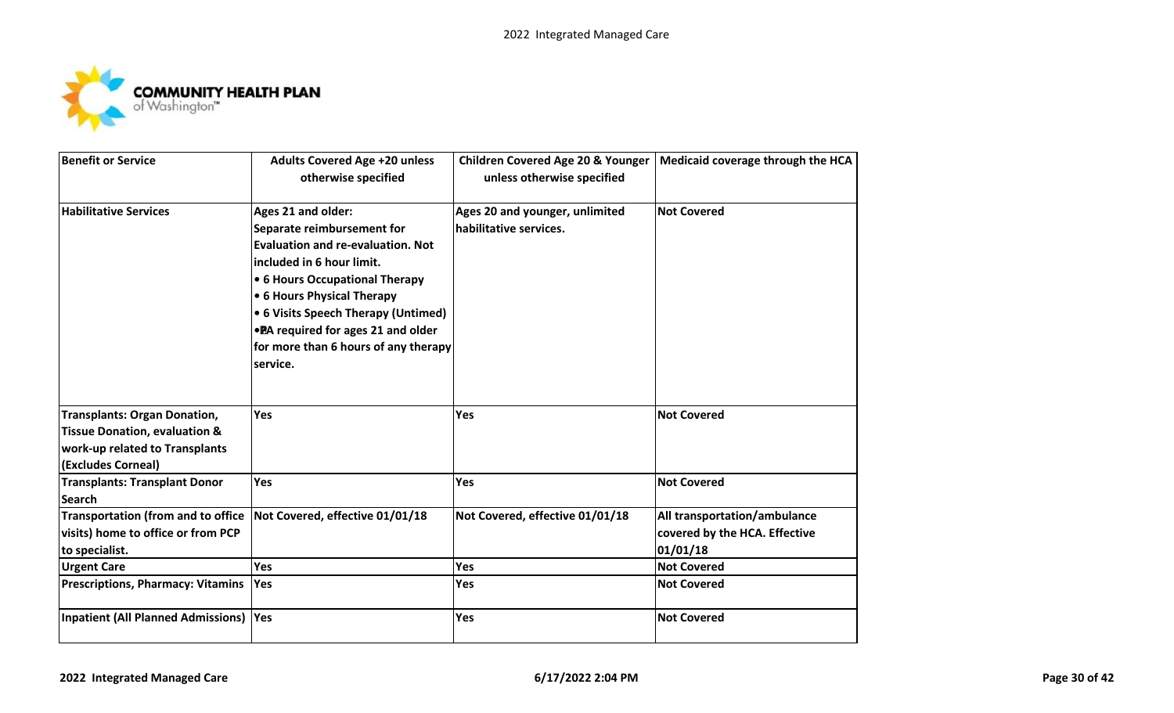

| <b>Benefit or Service</b>                                                                                                               | <b>Adults Covered Age +20 unless</b><br>otherwise specified                                                                                                                                                                                                                                                                 | <b>Children Covered Age 20 &amp; Younger</b><br>unless otherwise specified | Medicaid coverage through the HCA                                         |
|-----------------------------------------------------------------------------------------------------------------------------------------|-----------------------------------------------------------------------------------------------------------------------------------------------------------------------------------------------------------------------------------------------------------------------------------------------------------------------------|----------------------------------------------------------------------------|---------------------------------------------------------------------------|
| <b>Habilitative Services</b>                                                                                                            | Ages 21 and older:<br>Separate reimbursement for<br><b>Evaluation and re-evaluation. Not</b><br>included in 6 hour limit.<br>• 6 Hours Occupational Therapy<br>• 6 Hours Physical Therapy<br>• 6 Visits Speech Therapy (Untimed)<br>. PA required for ages 21 and older<br>for more than 6 hours of any therapy<br>service. | Ages 20 and younger, unlimited<br>habilitative services.                   | <b>Not Covered</b>                                                        |
| <b>Transplants: Organ Donation,</b><br><b>Tissue Donation, evaluation &amp;</b><br>work-up related to Transplants<br>(Excludes Corneal) | Yes                                                                                                                                                                                                                                                                                                                         | Yes                                                                        | <b>Not Covered</b>                                                        |
| <b>Transplants: Transplant Donor</b><br><b>Search</b>                                                                                   | Yes                                                                                                                                                                                                                                                                                                                         | Yes                                                                        | <b>Not Covered</b>                                                        |
| <b>Transportation (from and to office</b><br>visits) home to office or from PCP<br>to specialist.                                       | Not Covered, effective 01/01/18                                                                                                                                                                                                                                                                                             | Not Covered, effective 01/01/18                                            | All transportation/ambulance<br>covered by the HCA. Effective<br>01/01/18 |
| <b>Urgent Care</b>                                                                                                                      | Yes                                                                                                                                                                                                                                                                                                                         | Yes                                                                        | <b>Not Covered</b>                                                        |
| <b>Prescriptions, Pharmacy: Vitamins</b>                                                                                                | <b>Yes</b>                                                                                                                                                                                                                                                                                                                  | Yes                                                                        | <b>Not Covered</b>                                                        |
| <b>Inpatient (All Planned Admissions)</b>                                                                                               | <b>Yes</b>                                                                                                                                                                                                                                                                                                                  | Yes                                                                        | <b>Not Covered</b>                                                        |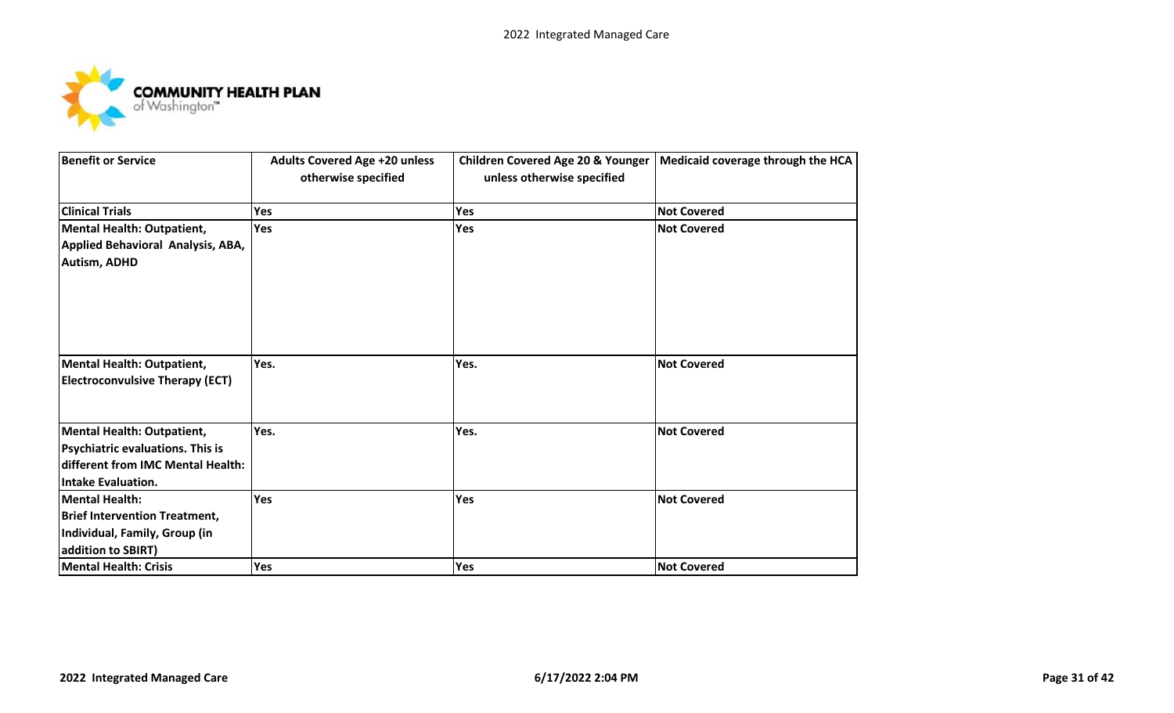

| <b>Benefit or Service</b>                                                                                                                      | <b>Adults Covered Age +20 unless</b><br>otherwise specified | Children Covered Age 20 & Younger<br>unless otherwise specified | Medicaid coverage through the HCA |
|------------------------------------------------------------------------------------------------------------------------------------------------|-------------------------------------------------------------|-----------------------------------------------------------------|-----------------------------------|
| <b>Clinical Trials</b>                                                                                                                         | Yes                                                         | Yes                                                             | <b>Not Covered</b>                |
| <b>Mental Health: Outpatient,</b><br>Applied Behavioral Analysis, ABA,<br><b>Autism, ADHD</b>                                                  | Yes                                                         | Yes                                                             | <b>Not Covered</b>                |
| <b>Mental Health: Outpatient,</b><br><b>Electroconvulsive Therapy (ECT)</b>                                                                    | Yes.                                                        | Yes.                                                            | <b>Not Covered</b>                |
| <b>Mental Health: Outpatient,</b><br><b>Psychiatric evaluations. This is</b><br>different from IMC Mental Health:<br><b>Intake Evaluation.</b> | Yes.                                                        | Yes.                                                            | <b>Not Covered</b>                |
| <b>Mental Health:</b><br><b>Brief Intervention Treatment,</b><br>Individual, Family, Group (in<br>addition to SBIRT)                           | Yes                                                         | Yes                                                             | <b>Not Covered</b>                |
| <b>Mental Health: Crisis</b>                                                                                                                   | Yes                                                         | Yes                                                             | <b>Not Covered</b>                |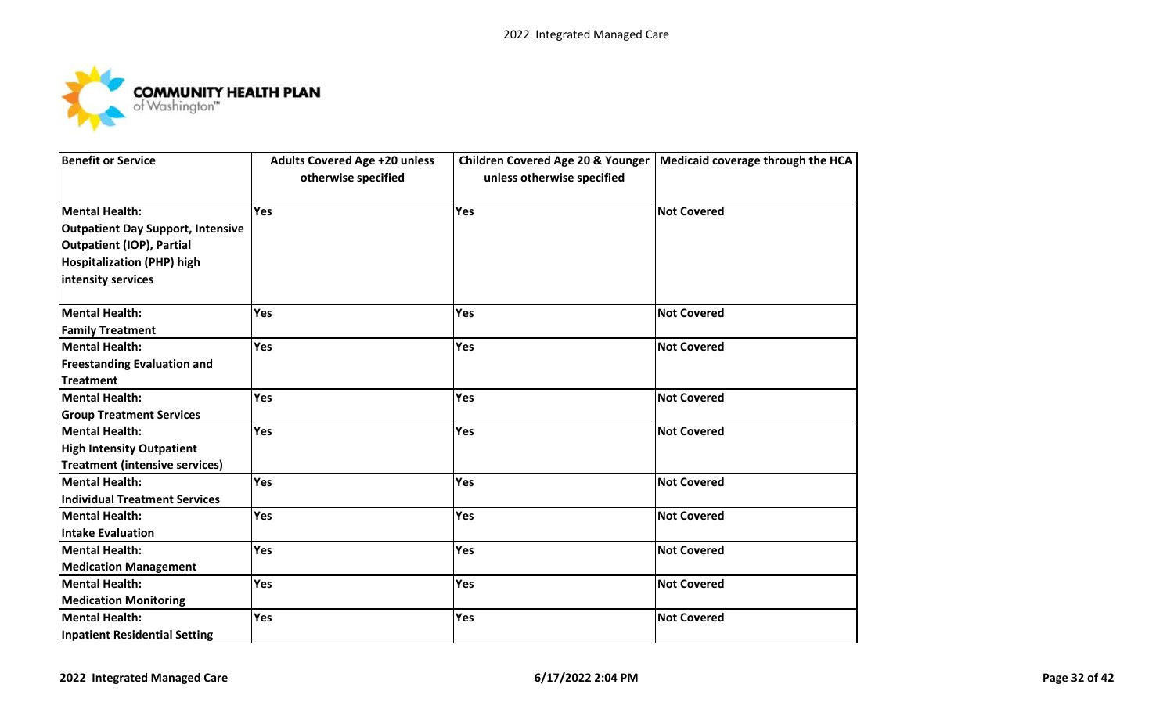

| <b>Benefit or Service</b>                | <b>Adults Covered Age +20 unless</b><br>otherwise specified | <b>Children Covered Age 20 &amp; Younger</b><br>unless otherwise specified | Medicaid coverage through the HCA |
|------------------------------------------|-------------------------------------------------------------|----------------------------------------------------------------------------|-----------------------------------|
| <b>Mental Health:</b>                    | <b>Yes</b>                                                  | Yes                                                                        | <b>Not Covered</b>                |
| <b>Outpatient Day Support, Intensive</b> |                                                             |                                                                            |                                   |
| <b>Outpatient (IOP), Partial</b>         |                                                             |                                                                            |                                   |
| <b>Hospitalization (PHP) high</b>        |                                                             |                                                                            |                                   |
| intensity services                       |                                                             |                                                                            |                                   |
| <b>Mental Health:</b>                    | Yes                                                         | Yes                                                                        | <b>Not Covered</b>                |
| <b>Family Treatment</b>                  |                                                             |                                                                            |                                   |
| <b>Mental Health:</b>                    | <b>Yes</b>                                                  | Yes                                                                        | <b>Not Covered</b>                |
| <b>Freestanding Evaluation and</b>       |                                                             |                                                                            |                                   |
| <b>Treatment</b>                         |                                                             |                                                                            |                                   |
| <b>Mental Health:</b>                    | Yes                                                         | Yes                                                                        | <b>Not Covered</b>                |
| <b>Group Treatment Services</b>          |                                                             |                                                                            |                                   |
| <b>Mental Health:</b>                    | <b>Yes</b>                                                  | Yes                                                                        | <b>Not Covered</b>                |
| <b>High Intensity Outpatient</b>         |                                                             |                                                                            |                                   |
| <b>Treatment (intensive services)</b>    |                                                             |                                                                            |                                   |
| <b>Mental Health:</b>                    | Yes                                                         | Yes                                                                        | <b>Not Covered</b>                |
| <b>Individual Treatment Services</b>     |                                                             |                                                                            |                                   |
| <b>Mental Health:</b>                    | Yes                                                         | Yes                                                                        | <b>Not Covered</b>                |
| <b>Intake Evaluation</b>                 |                                                             |                                                                            |                                   |
| <b>Mental Health:</b>                    | Yes                                                         | Yes                                                                        | <b>Not Covered</b>                |
| <b>Medication Management</b>             |                                                             |                                                                            |                                   |
| <b>Mental Health:</b>                    | <b>Yes</b>                                                  | Yes                                                                        | <b>Not Covered</b>                |
| <b>Medication Monitoring</b>             |                                                             |                                                                            |                                   |
| <b>Mental Health:</b>                    | Yes                                                         | Yes                                                                        | <b>Not Covered</b>                |
| <b>Inpatient Residential Setting</b>     |                                                             |                                                                            |                                   |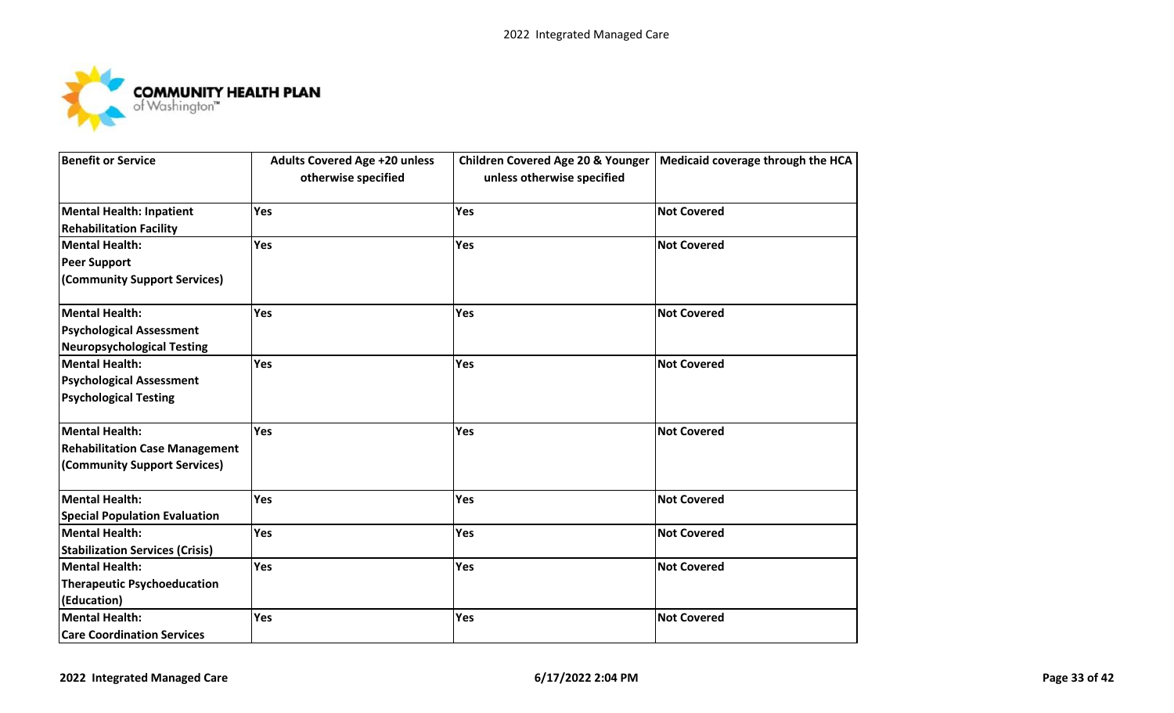

| <b>Benefit or Service</b>              | <b>Adults Covered Age +20 unless</b><br>otherwise specified | Children Covered Age 20 & Younger<br>unless otherwise specified | Medicaid coverage through the HCA |
|----------------------------------------|-------------------------------------------------------------|-----------------------------------------------------------------|-----------------------------------|
| <b>Mental Health: Inpatient</b>        | Yes                                                         | Yes                                                             | <b>Not Covered</b>                |
| <b>Rehabilitation Facility</b>         |                                                             |                                                                 |                                   |
| <b>Mental Health:</b>                  | Yes                                                         | Yes                                                             | <b>Not Covered</b>                |
| <b>Peer Support</b>                    |                                                             |                                                                 |                                   |
| (Community Support Services)           |                                                             |                                                                 |                                   |
| <b>Mental Health:</b>                  | Yes                                                         | Yes                                                             | <b>Not Covered</b>                |
| <b>Psychological Assessment</b>        |                                                             |                                                                 |                                   |
| <b>Neuropsychological Testing</b>      |                                                             |                                                                 |                                   |
| <b>Mental Health:</b>                  | Yes                                                         | Yes                                                             | <b>Not Covered</b>                |
| <b>Psychological Assessment</b>        |                                                             |                                                                 |                                   |
| <b>Psychological Testing</b>           |                                                             |                                                                 |                                   |
| <b>Mental Health:</b>                  | Yes                                                         | Yes                                                             | <b>Not Covered</b>                |
| <b>Rehabilitation Case Management</b>  |                                                             |                                                                 |                                   |
| (Community Support Services)           |                                                             |                                                                 |                                   |
| <b>Mental Health:</b>                  | Yes                                                         | Yes                                                             | <b>Not Covered</b>                |
| <b>Special Population Evaluation</b>   |                                                             |                                                                 |                                   |
| <b>Mental Health:</b>                  | Yes                                                         | Yes                                                             | <b>Not Covered</b>                |
| <b>Stabilization Services (Crisis)</b> |                                                             |                                                                 |                                   |
| <b>Mental Health:</b>                  | Yes                                                         | Yes                                                             | <b>Not Covered</b>                |
| <b>Therapeutic Psychoeducation</b>     |                                                             |                                                                 |                                   |
| (Education)                            |                                                             |                                                                 |                                   |
| <b>Mental Health:</b>                  | Yes                                                         | Yes                                                             | <b>Not Covered</b>                |
| <b>Care Coordination Services</b>      |                                                             |                                                                 |                                   |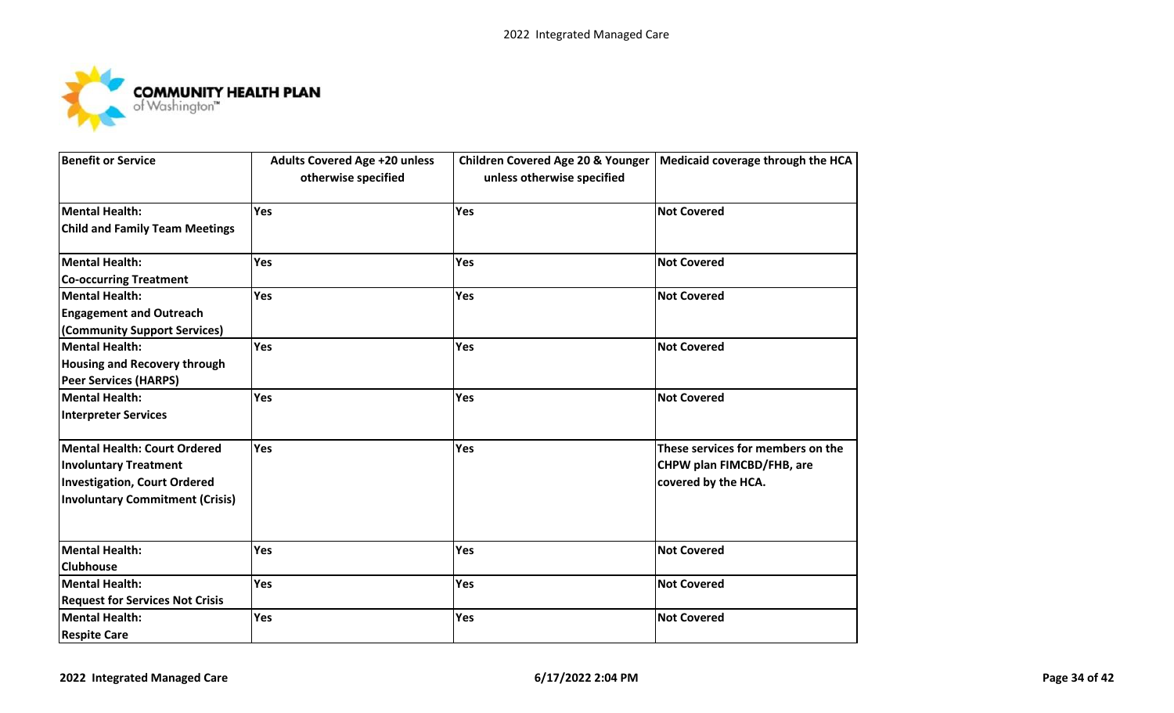

| <b>Benefit or Service</b>              | <b>Adults Covered Age +20 unless</b><br>otherwise specified | <b>Children Covered Age 20 &amp; Younger</b><br>unless otherwise specified | Medicaid coverage through the HCA |
|----------------------------------------|-------------------------------------------------------------|----------------------------------------------------------------------------|-----------------------------------|
| <b>Mental Health:</b>                  | Yes                                                         | Yes                                                                        | <b>Not Covered</b>                |
| <b>Child and Family Team Meetings</b>  |                                                             |                                                                            |                                   |
| <b>Mental Health:</b>                  | <b>Yes</b>                                                  | Yes                                                                        | <b>Not Covered</b>                |
| <b>Co-occurring Treatment</b>          |                                                             |                                                                            |                                   |
| <b>Mental Health:</b>                  | <b>Yes</b>                                                  | Yes                                                                        | <b>Not Covered</b>                |
| <b>Engagement and Outreach</b>         |                                                             |                                                                            |                                   |
| (Community Support Services)           |                                                             |                                                                            |                                   |
| <b>Mental Health:</b>                  | Yes                                                         | Yes                                                                        | <b>Not Covered</b>                |
| <b>Housing and Recovery through</b>    |                                                             |                                                                            |                                   |
| <b>Peer Services (HARPS)</b>           |                                                             |                                                                            |                                   |
| <b>Mental Health:</b>                  | Yes                                                         | Yes                                                                        | <b>Not Covered</b>                |
| <b>Interpreter Services</b>            |                                                             |                                                                            |                                   |
| <b>Mental Health: Court Ordered</b>    | Yes                                                         | Yes                                                                        | These services for members on the |
| <b>Involuntary Treatment</b>           |                                                             |                                                                            | CHPW plan FIMCBD/FHB, are         |
| <b>Investigation, Court Ordered</b>    |                                                             |                                                                            | covered by the HCA.               |
| <b>Involuntary Commitment (Crisis)</b> |                                                             |                                                                            |                                   |
| <b>Mental Health:</b>                  | Yes                                                         | Yes                                                                        | <b>Not Covered</b>                |
| <b>Clubhouse</b>                       |                                                             |                                                                            |                                   |
| <b>Mental Health:</b>                  | Yes                                                         | Yes                                                                        | <b>Not Covered</b>                |
| <b>Request for Services Not Crisis</b> |                                                             |                                                                            |                                   |
| <b>Mental Health:</b>                  | Yes                                                         | Yes                                                                        | <b>Not Covered</b>                |
| <b>Respite Care</b>                    |                                                             |                                                                            |                                   |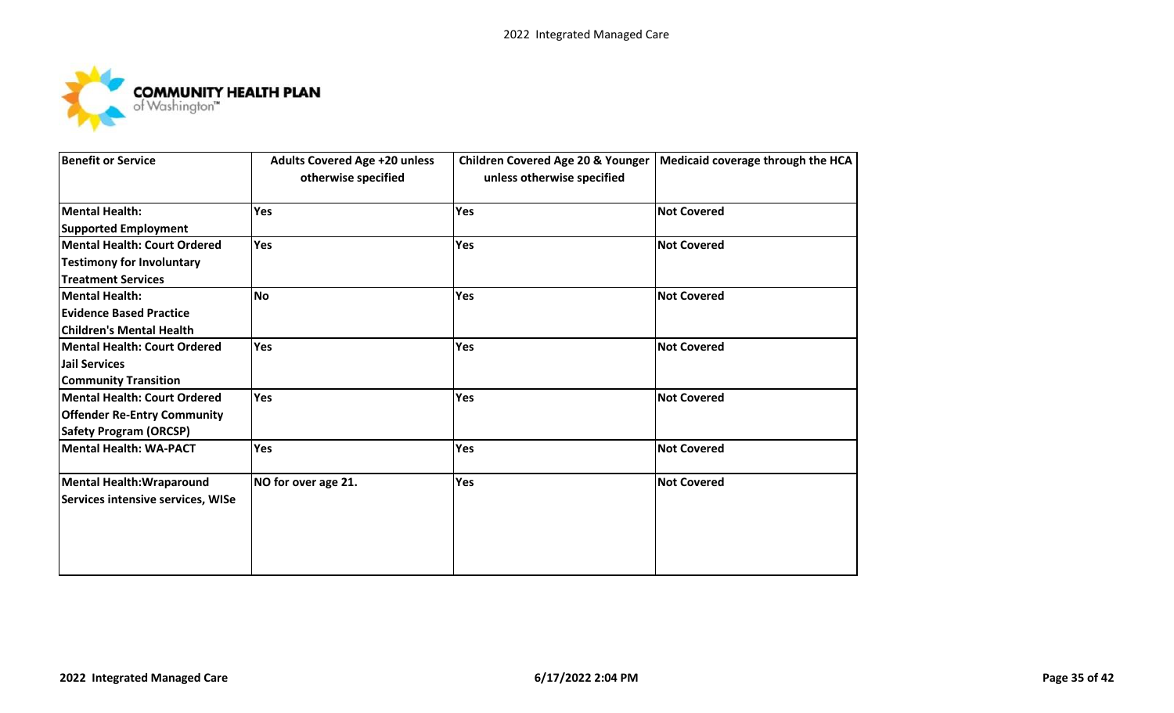

| <b>Benefit or Service</b>           | <b>Adults Covered Age +20 unless</b><br>otherwise specified | <b>Children Covered Age 20 &amp; Younger</b><br>unless otherwise specified | Medicaid coverage through the HCA |
|-------------------------------------|-------------------------------------------------------------|----------------------------------------------------------------------------|-----------------------------------|
| <b>Mental Health:</b>               | Yes                                                         | Yes                                                                        | <b>Not Covered</b>                |
| <b>Supported Employment</b>         |                                                             |                                                                            |                                   |
| <b>Mental Health: Court Ordered</b> | Yes                                                         | Yes                                                                        | <b>Not Covered</b>                |
| <b>Testimony for Involuntary</b>    |                                                             |                                                                            |                                   |
| <b>Treatment Services</b>           |                                                             |                                                                            |                                   |
| <b>Mental Health:</b>               | <b>No</b>                                                   | Yes                                                                        | <b>Not Covered</b>                |
| <b>Evidence Based Practice</b>      |                                                             |                                                                            |                                   |
| <b>Children's Mental Health</b>     |                                                             |                                                                            |                                   |
| <b>Mental Health: Court Ordered</b> | Yes                                                         | Yes                                                                        | <b>Not Covered</b>                |
| <b>Jail Services</b>                |                                                             |                                                                            |                                   |
| <b>Community Transition</b>         |                                                             |                                                                            |                                   |
| <b>Mental Health: Court Ordered</b> | Yes                                                         | Yes                                                                        | <b>Not Covered</b>                |
| <b>Offender Re-Entry Community</b>  |                                                             |                                                                            |                                   |
| <b>Safety Program (ORCSP)</b>       |                                                             |                                                                            |                                   |
| <b>Mental Health: WA-PACT</b>       | <b>Yes</b>                                                  | Yes                                                                        | <b>Not Covered</b>                |
| <b>Mental Health: Wraparound</b>    | NO for over age 21.                                         | Yes                                                                        | <b>Not Covered</b>                |
| Services intensive services, WISe   |                                                             |                                                                            |                                   |
|                                     |                                                             |                                                                            |                                   |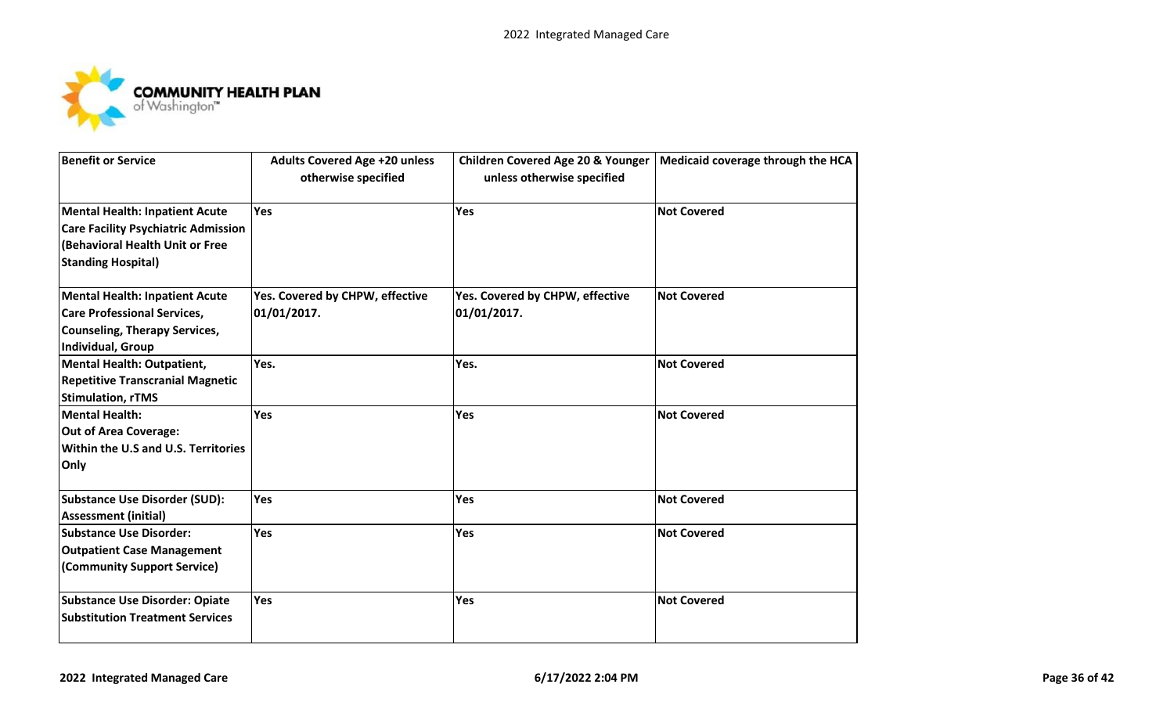

| <b>Benefit or Service</b>                                                                                                                           | <b>Adults Covered Age +20 unless</b><br>otherwise specified | Children Covered Age 20 & Younger<br>unless otherwise specified | Medicaid coverage through the HCA |
|-----------------------------------------------------------------------------------------------------------------------------------------------------|-------------------------------------------------------------|-----------------------------------------------------------------|-----------------------------------|
| <b>Mental Health: Inpatient Acute</b><br><b>Care Facility Psychiatric Admission</b><br>(Behavioral Health Unit or Free<br><b>Standing Hospital)</b> | Yes                                                         | Yes                                                             | <b>Not Covered</b>                |
| <b>Mental Health: Inpatient Acute</b><br><b>Care Professional Services,</b><br><b>Counseling, Therapy Services,</b><br><b>Individual, Group</b>     | Yes. Covered by CHPW, effective<br>01/01/2017.              | Yes. Covered by CHPW, effective<br>01/01/2017.                  | <b>Not Covered</b>                |
| Mental Health: Outpatient,<br><b>Repetitive Transcranial Magnetic</b><br><b>Stimulation, rTMS</b>                                                   | Yes.                                                        | Yes.                                                            | <b>Not Covered</b>                |
| <b>Mental Health:</b><br><b>Out of Area Coverage:</b><br><b>Within the U.S and U.S. Territories</b><br>Only                                         | Yes                                                         | <b>Yes</b>                                                      | <b>Not Covered</b>                |
| <b>Substance Use Disorder (SUD):</b><br><b>Assessment (initial)</b>                                                                                 | Yes                                                         | Yes                                                             | <b>Not Covered</b>                |
| <b>Substance Use Disorder:</b><br><b>Outpatient Case Management</b><br>(Community Support Service)                                                  | Yes                                                         | Yes                                                             | <b>Not Covered</b>                |
| <b>Substance Use Disorder: Opiate</b><br><b>Substitution Treatment Services</b>                                                                     | Yes                                                         | Yes                                                             | <b>Not Covered</b>                |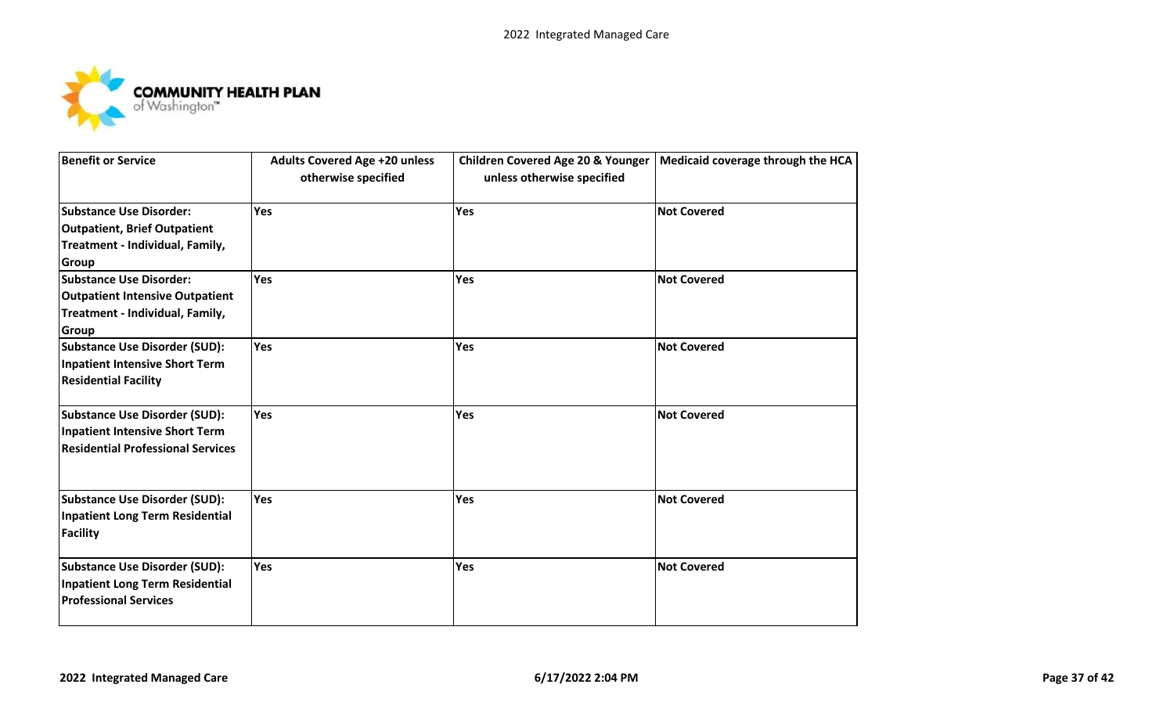

| <b>Benefit or Service</b>                                                                                                                   | <b>Adults Covered Age +20 unless</b><br>otherwise specified | <b>Children Covered Age 20 &amp; Younger</b><br>unless otherwise specified | Medicaid coverage through the HCA |
|---------------------------------------------------------------------------------------------------------------------------------------------|-------------------------------------------------------------|----------------------------------------------------------------------------|-----------------------------------|
| <b>Substance Use Disorder:</b><br><b>Outpatient, Brief Outpatient</b><br>Treatment - Individual, Family,                                    | Yes                                                         | Yes                                                                        | <b>Not Covered</b>                |
| <b>Group</b><br><b>Substance Use Disorder:</b><br><b>Outpatient Intensive Outpatient</b><br>Treatment - Individual, Family,<br><b>Group</b> | Yes                                                         | Yes                                                                        | <b>Not Covered</b>                |
| <b>Substance Use Disorder (SUD):</b><br><b>Inpatient Intensive Short Term</b><br><b>Residential Facility</b>                                | Yes                                                         | Yes                                                                        | <b>Not Covered</b>                |
| <b>Substance Use Disorder (SUD):</b><br><b>Inpatient Intensive Short Term</b><br><b>Residential Professional Services</b>                   | Yes                                                         | Yes                                                                        | <b>Not Covered</b>                |
| <b>Substance Use Disorder (SUD):</b><br>Inpatient Long Term Residential<br><b>Facility</b>                                                  | Yes                                                         | Yes                                                                        | <b>Not Covered</b>                |
| <b>Substance Use Disorder (SUD):</b><br><b>Inpatient Long Term Residential</b><br><b>Professional Services</b>                              | Yes                                                         | Yes                                                                        | <b>Not Covered</b>                |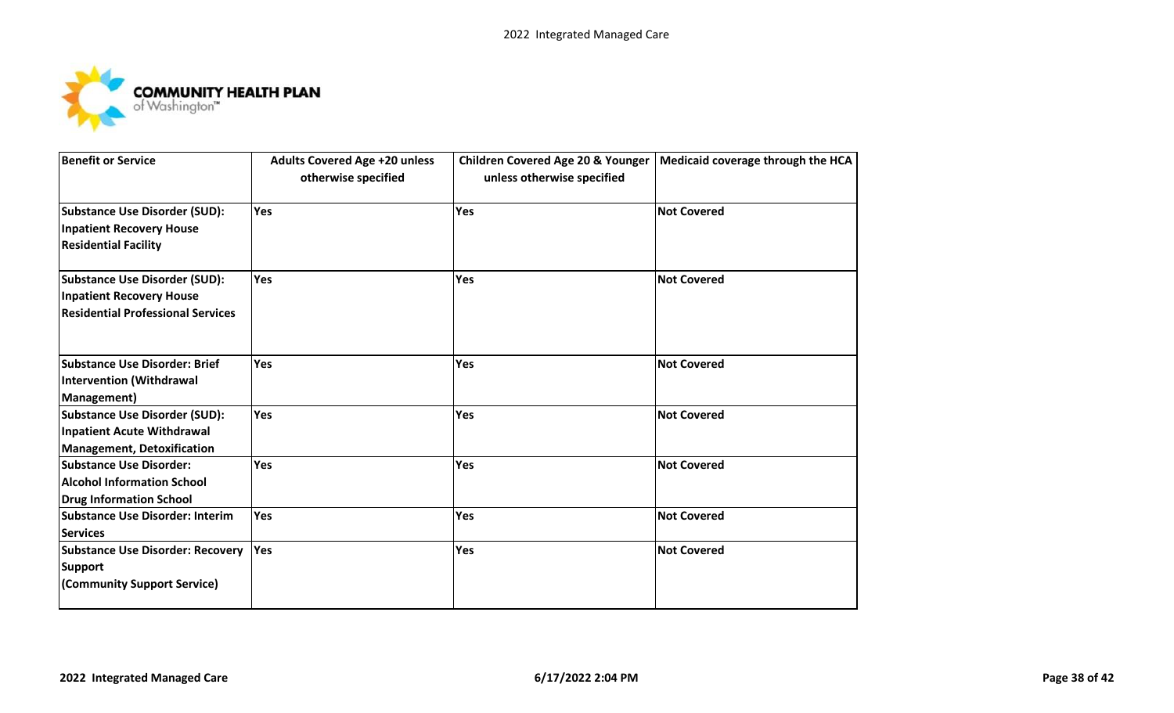

| <b>Benefit or Service</b>                                                                                           | <b>Adults Covered Age +20 unless</b><br>otherwise specified | Children Covered Age 20 & Younger<br>unless otherwise specified | Medicaid coverage through the HCA |
|---------------------------------------------------------------------------------------------------------------------|-------------------------------------------------------------|-----------------------------------------------------------------|-----------------------------------|
| <b>Substance Use Disorder (SUD):</b><br><b>Inpatient Recovery House</b><br><b>Residential Facility</b>              | Yes                                                         | Yes                                                             | <b>Not Covered</b>                |
| <b>Substance Use Disorder (SUD):</b><br><b>Inpatient Recovery House</b><br><b>Residential Professional Services</b> | Yes                                                         | Yes                                                             | <b>Not Covered</b>                |
| <b>Substance Use Disorder: Brief</b><br><b>Intervention (Withdrawal</b><br>Management)                              | Yes                                                         | Yes                                                             | <b>Not Covered</b>                |
| <b>Substance Use Disorder (SUD):</b><br><b>Inpatient Acute Withdrawal</b><br><b>Management, Detoxification</b>      | Yes                                                         | Yes                                                             | <b>Not Covered</b>                |
| <b>Substance Use Disorder:</b><br><b>Alcohol Information School</b><br><b>Drug Information School</b>               | Yes                                                         | Yes                                                             | <b>Not Covered</b>                |
| <b>Substance Use Disorder: Interim</b><br><b>Services</b>                                                           | Yes                                                         | Yes                                                             | <b>Not Covered</b>                |
| <b>Substance Use Disorder: Recovery</b><br><b>Support</b><br>(Community Support Service)                            | Yes                                                         | <b>Yes</b>                                                      | <b>Not Covered</b>                |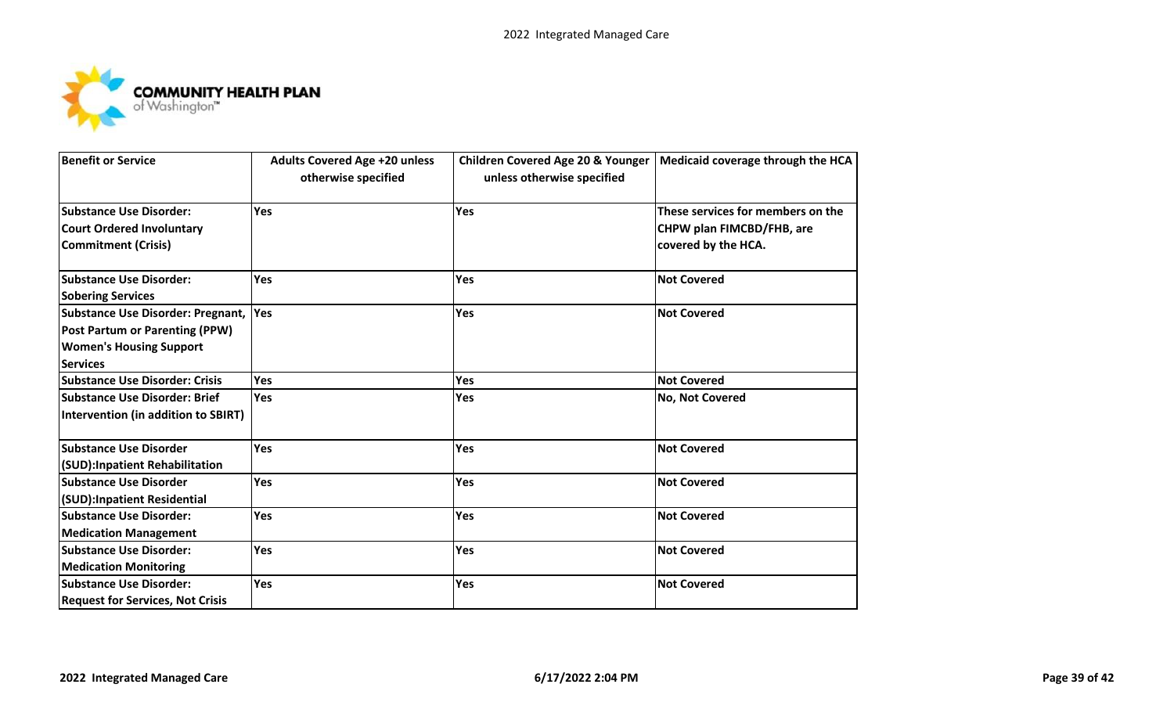

| <b>Benefit or Service</b>                                                                        | <b>Adults Covered Age +20 unless</b><br>otherwise specified | <b>Children Covered Age 20 &amp; Younger</b><br>unless otherwise specified | Medicaid coverage through the HCA                                                            |
|--------------------------------------------------------------------------------------------------|-------------------------------------------------------------|----------------------------------------------------------------------------|----------------------------------------------------------------------------------------------|
| <b>Substance Use Disorder:</b><br><b>Court Ordered Involuntary</b><br><b>Commitment (Crisis)</b> | Yes                                                         | Yes                                                                        | These services for members on the<br><b>CHPW plan FIMCBD/FHB, are</b><br>covered by the HCA. |
| <b>Substance Use Disorder:</b>                                                                   | <b>Yes</b>                                                  | Yes                                                                        | <b>Not Covered</b>                                                                           |
| <b>Sobering Services</b>                                                                         |                                                             |                                                                            |                                                                                              |
| <b>Substance Use Disorder: Pregnant,</b>                                                         | Yes                                                         | Yes                                                                        | <b>Not Covered</b>                                                                           |
| <b>Post Partum or Parenting (PPW)</b>                                                            |                                                             |                                                                            |                                                                                              |
| <b>Women's Housing Support</b>                                                                   |                                                             |                                                                            |                                                                                              |
| <b>Services</b>                                                                                  |                                                             |                                                                            |                                                                                              |
| <b>Substance Use Disorder: Crisis</b>                                                            | Yes                                                         | Yes                                                                        | <b>Not Covered</b>                                                                           |
| <b>Substance Use Disorder: Brief</b>                                                             | <b>Yes</b>                                                  | Yes                                                                        | <b>No, Not Covered</b>                                                                       |
| Intervention (in addition to SBIRT)                                                              |                                                             |                                                                            |                                                                                              |
| <b>Substance Use Disorder</b>                                                                    | Yes                                                         | Yes                                                                        | <b>Not Covered</b>                                                                           |
| (SUD):Inpatient Rehabilitation<br><b>Substance Use Disorder</b>                                  | Yes                                                         | Yes                                                                        | <b>Not Covered</b>                                                                           |
| (SUD):Inpatient Residential                                                                      |                                                             |                                                                            |                                                                                              |
| <b>Substance Use Disorder:</b>                                                                   | <b>Yes</b>                                                  | Yes                                                                        | <b>Not Covered</b>                                                                           |
| <b>Medication Management</b>                                                                     |                                                             |                                                                            |                                                                                              |
| <b>Substance Use Disorder:</b>                                                                   | Yes                                                         | Yes                                                                        | <b>Not Covered</b>                                                                           |
| <b>Medication Monitoring</b>                                                                     |                                                             |                                                                            |                                                                                              |
| <b>Substance Use Disorder:</b>                                                                   | <b>Yes</b>                                                  | Yes                                                                        | <b>Not Covered</b>                                                                           |
| <b>Request for Services, Not Crisis</b>                                                          |                                                             |                                                                            |                                                                                              |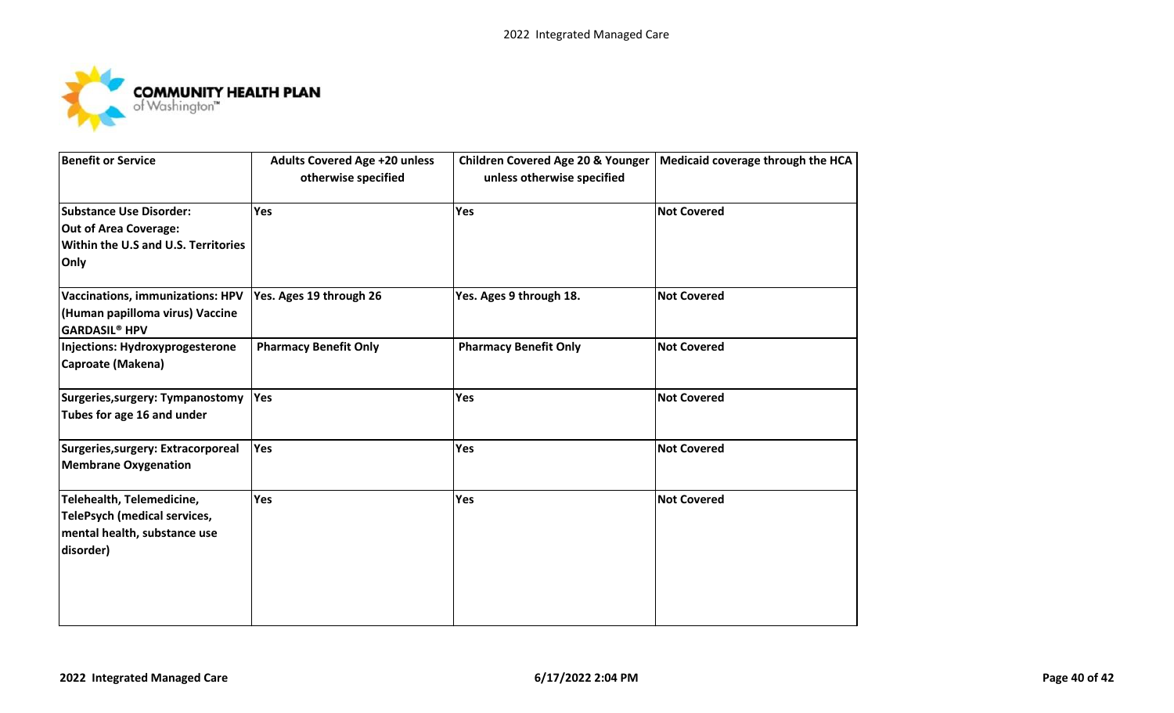

| <b>Benefit or Service</b>                                                                                     | <b>Adults Covered Age +20 unless</b><br>otherwise specified | Children Covered Age 20 & Younger<br>unless otherwise specified | Medicaid coverage through the HCA |
|---------------------------------------------------------------------------------------------------------------|-------------------------------------------------------------|-----------------------------------------------------------------|-----------------------------------|
| <b>Substance Use Disorder:</b><br><b>Out of Area Coverage:</b><br>Within the U.S and U.S. Territories<br>Only | Yes                                                         | Yes                                                             | <b>Not Covered</b>                |
| <b>Vaccinations, immunizations: HPV</b><br>(Human papilloma virus) Vaccine<br><b>GARDASIL<sup>®</sup> HPV</b> | Yes. Ages 19 through 26                                     | Yes. Ages 9 through 18.                                         | <b>Not Covered</b>                |
| Injections: Hydroxyprogesterone<br>Caproate (Makena)                                                          | <b>Pharmacy Benefit Only</b>                                | <b>Pharmacy Benefit Only</b>                                    | <b>Not Covered</b>                |
| Surgeries, surgery: Tympanostomy<br>Tubes for age 16 and under                                                | <b>Yes</b>                                                  | <b>Yes</b>                                                      | <b>Not Covered</b>                |
| Surgeries, surgery: Extracorporeal<br><b>Membrane Oxygenation</b>                                             | Yes                                                         | Yes                                                             | <b>Not Covered</b>                |
| Telehealth, Telemedicine,<br>TelePsych (medical services,<br>mental health, substance use<br>disorder)        | Yes                                                         | Yes                                                             | <b>Not Covered</b>                |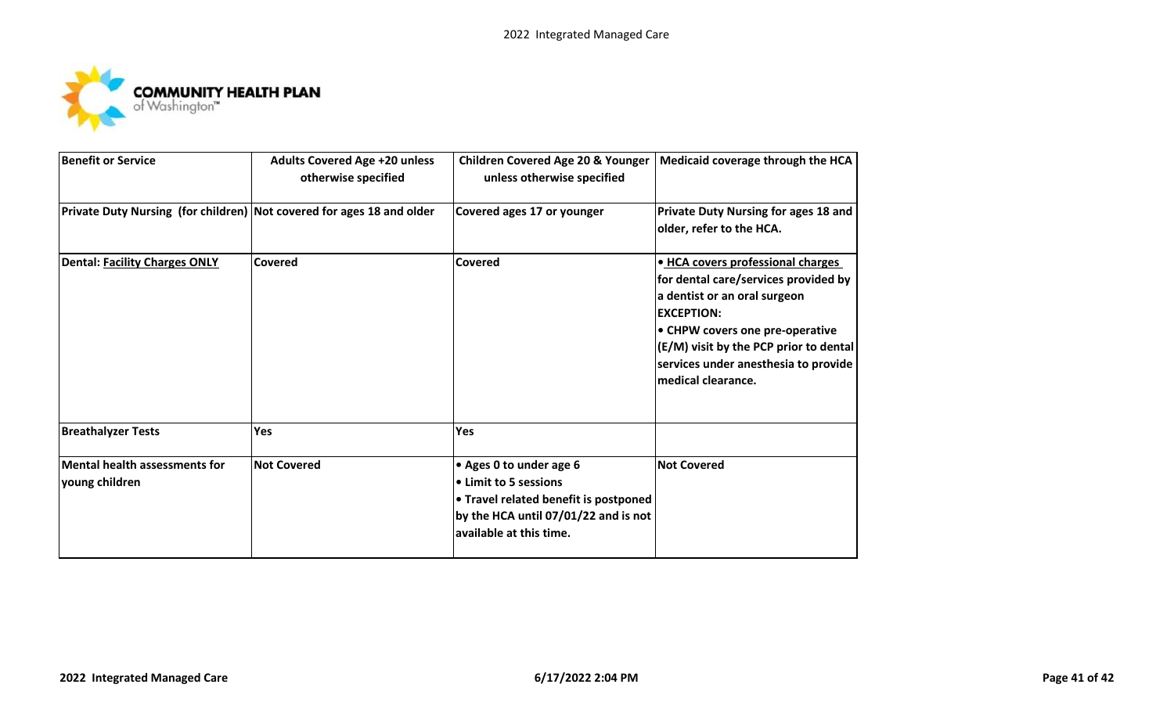

| <b>Benefit or Service</b>                              | <b>Adults Covered Age +20 unless</b><br>otherwise specified           | <b>Children Covered Age 20 &amp; Younger</b><br>unless otherwise specified                                                                                          | Medicaid coverage through the HCA                                                                                                                                                                                                                                           |
|--------------------------------------------------------|-----------------------------------------------------------------------|---------------------------------------------------------------------------------------------------------------------------------------------------------------------|-----------------------------------------------------------------------------------------------------------------------------------------------------------------------------------------------------------------------------------------------------------------------------|
|                                                        | Private Duty Nursing (for children) Not covered for ages 18 and older | Covered ages 17 or younger                                                                                                                                          | <b>Private Duty Nursing for ages 18 and</b><br>older, refer to the HCA.                                                                                                                                                                                                     |
| <b>Dental: Facility Charges ONLY</b>                   | Covered                                                               | Covered                                                                                                                                                             | • HCA covers professional charges<br>for dental care/services provided by<br>a dentist or an oral surgeon<br><b>IEXCEPTION:</b><br>• CHPW covers one pre-operative<br>(E/M) visit by the PCP prior to dental<br>services under anesthesia to provide<br>lmedical clearance. |
| <b>Breathalyzer Tests</b>                              | Yes                                                                   | Yes                                                                                                                                                                 |                                                                                                                                                                                                                                                                             |
| <b>Mental health assessments for</b><br>young children | <b>Not Covered</b>                                                    | • Ages 0 to under age 6<br><b>.</b> Limit to 5 sessions<br>• Travel related benefit is postponed<br>by the HCA until 07/01/22 and is not<br>available at this time. | <b>Not Covered</b>                                                                                                                                                                                                                                                          |